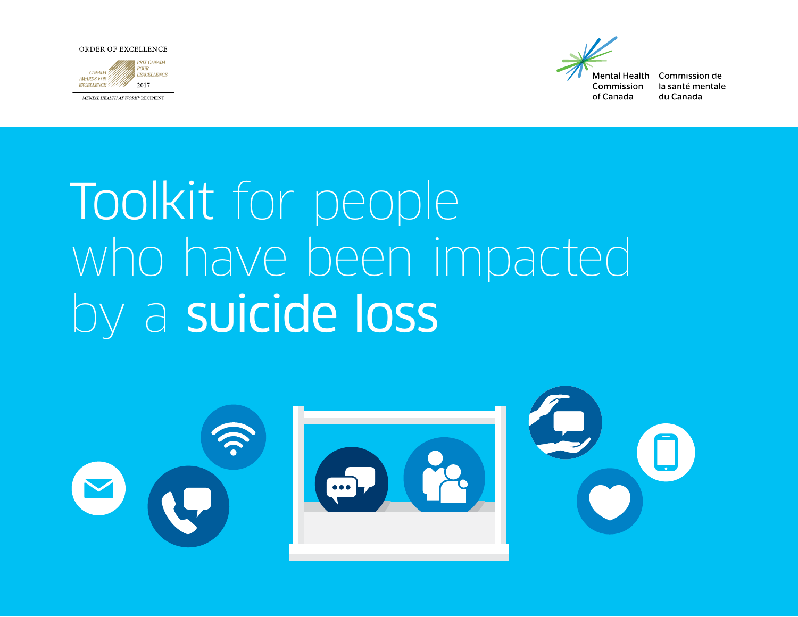



MENTAL HEALTH AT WORK<sup>®</sup> RECIPIENT



of Canada

Commission de la santé mentale du Canada

# Toolkit for people who have been impacted by a suicide loss

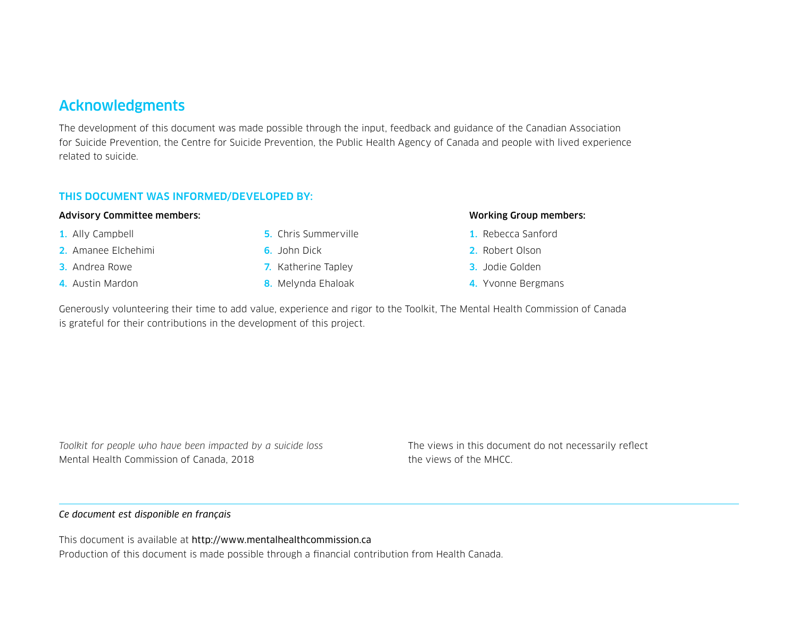### Acknowledgments

The development of this document was made possible through the input, feedback and guidance of the Canadian Association for Suicide Prevention, the Centre for Suicide Prevention, the Public Health Agency of Canada and people with lived experience related to suicide.

#### THIS DOCUMENT WAS INFORMED/DEVELOPED BY:

#### Advisory Committee members:

- 1. Ally Campbell
- 2. Amanee Elchehimi
- 3. Andrea Rowe
- 4. Austin Mardon
- 5. Chris Summerville
- 6. John Dick
- 7. Katherine Tapley
- 8. Melynda Ehaloak

#### Working Group members:

- 1. Rebecca Sanford
- 2. Robert Olson
- 3. Jodie Golden
- 4. Yvonne Bergmans

Generously volunteering their time to add value, experience and rigor to the Toolkit, The Mental Health Commission of Canada is grateful for their contributions in the development of this project.

*Toolkit for people who have been impacted by a suicide loss* Mental Health Commission of Canada, 2018

The views in this document do not necessarily reflect the views of the MHCC.

#### *Ce document est disponible en français*

This document is available at <http://www.mentalhealthcommission.ca> Production of this document is made possible through a financial contribution from Health Canada.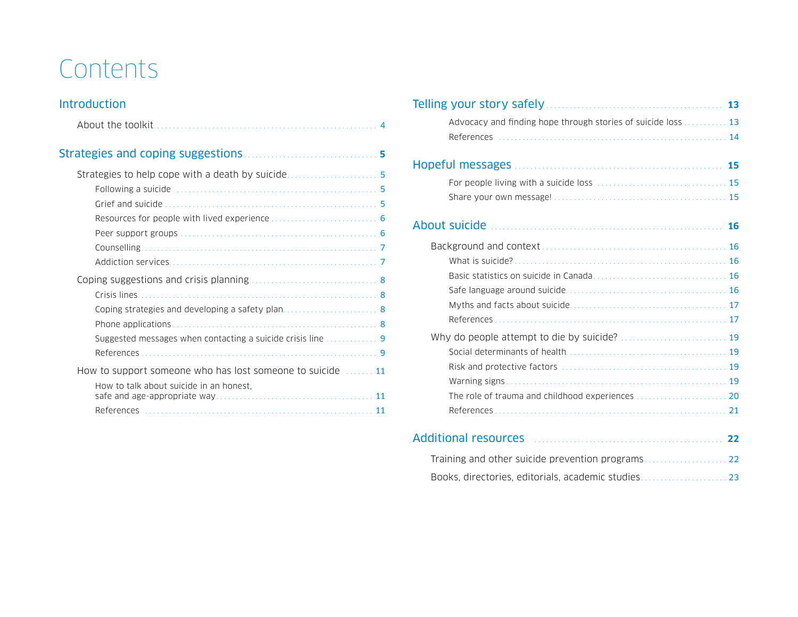# <span id="page-2-0"></span>Contents

### [Introduction](#page-3-0)

|                                                                                                       | 4 |
|-------------------------------------------------------------------------------------------------------|---|
|                                                                                                       | 5 |
|                                                                                                       |   |
|                                                                                                       |   |
|                                                                                                       |   |
| Counselling.                                                                                          |   |
|                                                                                                       |   |
| Crisis lines                                                                                          |   |
|                                                                                                       |   |
| References.                                                                                           |   |
| How to support someone who has lost someone to suicide  11<br>How to talk about suicide in an honest. |   |
| References                                                                                            |   |

|                                                                                                                                                                                                                                | 13 |
|--------------------------------------------------------------------------------------------------------------------------------------------------------------------------------------------------------------------------------|----|
| Advocacy and finding hope through stories of suicide loss  13                                                                                                                                                                  |    |
|                                                                                                                                                                                                                                | 15 |
|                                                                                                                                                                                                                                |    |
|                                                                                                                                                                                                                                |    |
|                                                                                                                                                                                                                                | 16 |
|                                                                                                                                                                                                                                |    |
|                                                                                                                                                                                                                                |    |
|                                                                                                                                                                                                                                |    |
|                                                                                                                                                                                                                                |    |
|                                                                                                                                                                                                                                |    |
|                                                                                                                                                                                                                                |    |
|                                                                                                                                                                                                                                |    |
|                                                                                                                                                                                                                                |    |
|                                                                                                                                                                                                                                |    |
|                                                                                                                                                                                                                                |    |
|                                                                                                                                                                                                                                |    |
|                                                                                                                                                                                                                                |    |
| Additional resources [11] Additional Property of Additional Property of Additional Property of Additional Property of Additional Property of Additional Property of Additional Property of Additional Property of Additional P | 22 |
|                                                                                                                                                                                                                                |    |
|                                                                                                                                                                                                                                |    |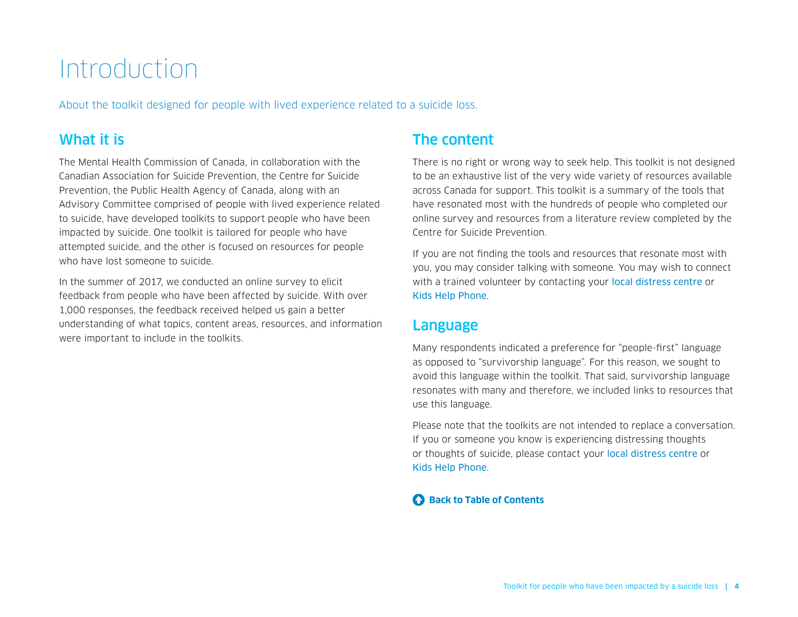# <span id="page-3-0"></span>Introduction

<span id="page-3-1"></span>About the toolkit designed for people with lived experience related to a suicide loss.

# What it is

The Mental Health Commission of Canada, in collaboration with the Canadian Association for Suicide Prevention, the Centre for Suicide Prevention, the Public Health Agency of Canada, along with an Advisory Committee comprised of people with lived experience related to suicide, have developed toolkits to support people who have been impacted by suicide. One toolkit is tailored for people who have attempted suicide, and the other is focused on resources for people who have lost someone to suicide.

In the summer of 2017, we conducted an online survey to elicit feedback from people who have been affected by suicide. With over 1,000 responses, the feedback received helped us gain a better understanding of what topics, content areas, resources, and information were important to include in the toolkits.

# The content

There is no right or wrong way to seek help. This toolkit is not designed to be an exhaustive list of the very wide variety of resources available across Canada for support. This toolkit is a summary of the tools that have resonated most with the hundreds of people who completed our online survey and resources from a literature review completed by the Centre for Suicide Prevention.

If you are not finding the tools and resources that resonate most with you, you may consider talking with someone. You may wish to connect with a trained volunteer by contacting your [local distress centre](https://www.crisisservicescanada.ca/en/) or [Kids Help Phone](https://kidshelpphone.ca).

### Language

Many respondents indicated a preference for "people-first" language as opposed to "survivorship language". For this reason, we sought to avoid this language within the toolkit. That said, survivorship language resonates with many and therefore, we included links to resources that use this language.

Please note that the toolkits are not intended to replace a conversation. If you or someone you know is experiencing distressing thoughts or thoughts of suicide, please contact your [local distress centre](https://www.crisisservicescanada.ca/en/) or [Kids Help Phone](https://kidshelpphone.ca).

#### **[Back to Table of Contents](#page-2-0)**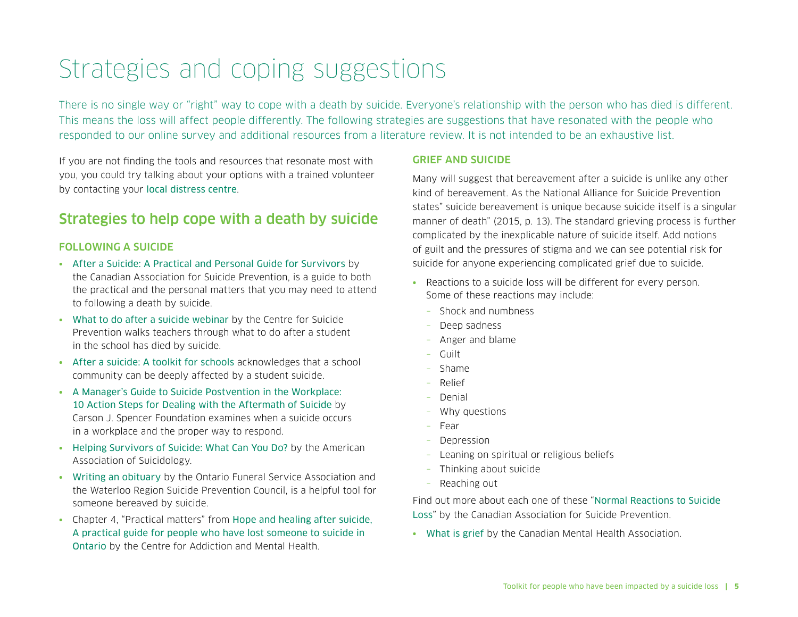# <span id="page-4-0"></span>Strategies and coping suggestions

There is no single way or "right" way to cope with a death by suicide. Everyone's relationship with the person who has died is different. This means the loss will affect people differently. The following strategies are suggestions that have resonated with the people who responded to our online survey and additional resources from a literature review. It is not intended to be an exhaustive list.

If you are not finding the tools and resources that resonate most with you, you could try talking about your options with a trained volunteer by contacting your [local distress centre](https://www.crisisservicescanada.ca/en/).

# <span id="page-4-1"></span>Strategies to help cope with a death by suicide

#### <span id="page-4-2"></span>FOLLOWING A SUICIDE

- [After a Suicide: A Practical and Personal Guide for Survivors](http://klinic.mb.ca/wp-content/uploads/2015/07/After-a-Suicide-A-Practical-and-Personal-Guide-for-Survivors.pdf) by the Canadian Association for Suicide Prevention, is a guide to both the practical and the personal matters that you may need to attend to following a death by suicide.
- [What to do after a suicide webinar](https://www.suicideinfo.ca/resource/what-to-do-after-a-suicide/) by the Centre for Suicide Prevention walks teachers through what to do after a student in the school has died by suicide.
- [After a suicide: A toolkit for schools](http://www.sprc.org/sites/default/files/migrate/library/AfteraSuicideToolkitforSchools.pdf) acknowledges that a school community can be deeply affected by a student suicide.
- [A Manager's Guide to Suicide Postvention in the Workplace:](https://www.sprc.org/resources-programs/managers-guide-suicide-postvention-workplace-10-action-steps-dealing-aftermath)  [10 Action Steps for Dealing with the Aftermath of Suicide](https://www.sprc.org/resources-programs/managers-guide-suicide-postvention-workplace-10-action-steps-dealing-aftermath) by Carson J. Spencer Foundation examines when a suicide occurs in a workplace and the proper way to respond.
- [Helping Survivors of Suicide: What Can You Do?](https://suicidology.org/resources/suicide-loss-survivors/helping-sosl/) by the American Association of Suicidology.
- [Writing an obituary](http://wrspc.ca/wp-content/uploads/2014/09/Suicide-Obituary-Brochure-8.5-x-14-Dec-7.pdf) by the Ontario Funeral Service Association and the Waterloo Region Suicide Prevention Council, is a helpful tool for someone bereaved by suicide.
- Chapter 4, "Practical matters" from [Hope and healing after suicide,](https://www.camh.ca/-/media/files/guides-and-publications/hope-and-healing-en.pdf)  [A practical guide for people who have lost someone to suicide in](https://www.camh.ca/-/media/files/guides-and-publications/hope-and-healing-en.pdf)  [Ontario](https://www.camh.ca/-/media/files/guides-and-publications/hope-and-healing-en.pdf) by the Centre for Addiction and Mental Health.

#### <span id="page-4-3"></span>GRIEF AND SUICIDE

Many will suggest that bereavement after a suicide is unlike any other kind of bereavement. As the National Alliance for Suicide Prevention states" suicide bereavement is unique because suicide itself is a singular manner of death" (2015, p. 13). The standard grieving process is further complicated by the inexplicable nature of suicide itself. Add notions of guilt and the pressures of stigma and we can see potential risk for suicide for anyone experiencing complicated grief due to suicide.

- Reactions to a suicide loss will be different for every person. Some of these reactions may include:
	- Shock and numbness
	- Deep sadness
	- Anger and blame
	- Guilt
	- Shame
	- Relief
	- Denial
	- Why questions
	- Fear
	- Depression
	- Leaning on spiritual or religious beliefs
	- Thinking about suicide
	- Reaching out

Find out more about each one of these "N[ormal Reactions to Suicide](https://suicideprevention.ca/support-for-people-living-with-loss/)  [Loss](https://suicideprevention.ca/support-for-people-living-with-loss/)" by the Canadian Association for Suicide Prevention.

• [What is grief](https://cmha.ca/documents/grieving) by the Canadian Mental Health Association.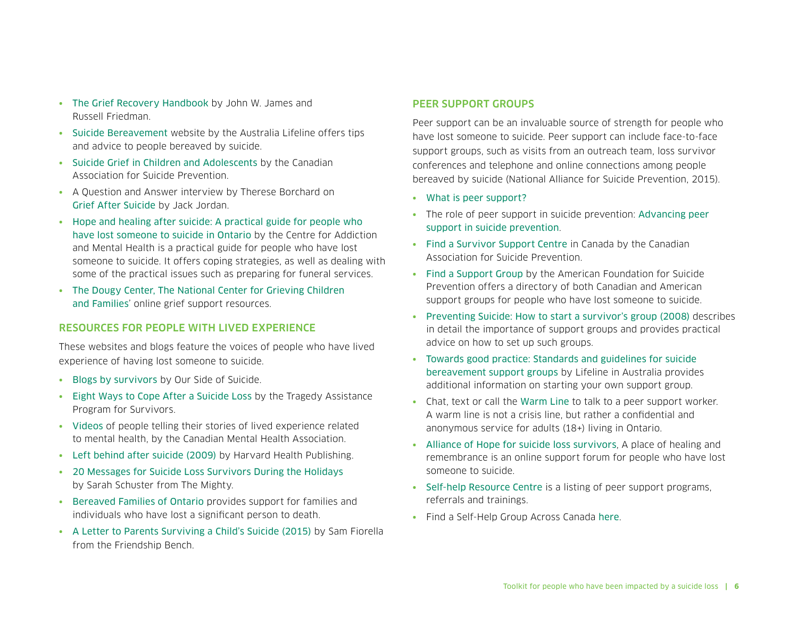- [The Grief Recovery Handbook](https://www.griefrecoverymethod.com/books/grief-recovery-handbook) by John W. James and Russell Friedman.
- [Suicide Bereavement](https://www.lifeline.org.au/get-help/topics/suicide-bereavement) website by the Australia Lifeline offers tips and advice to people bereaved by suicide.
- [Suicide Grief in Children and Adolescents](https://suicideprevention.ca/resources/resource-centre/) by the Canadian Association for Suicide Prevention.
- A Question and Answer interview by Therese Borchard on [Grief After Suicide](https://psychcentral.com/lib/grief-after-suicide-an-interview-with-dr-jack-jordan/) by Jack Jordan.
- [Hope and healing after suicide: A practical guide for people who](https://www.camh.ca/-/media/files/guides-and-publications/hope-and-healing-en.pdf)  [have lost someone to suicide in Ontario](https://www.camh.ca/-/media/files/guides-and-publications/hope-and-healing-en.pdf) by the Centre for Addiction and Mental Health is a practical guide for people who have lost someone to suicide. It offers coping strategies, as well as dealing with some of the practical issues such as preparing for funeral services.
- [The Dougy Center, The National Center for Grieving Children](https://www.dougy.org/grief-resources/)  [and Families](https://www.dougy.org/grief-resources/)' online grief support resources.

#### <span id="page-5-0"></span>RESOURCES FOR PEOPLE WITH LIVED EXPERIENCE

These websites and blogs feature the voices of people who have lived experience of having lost someone to suicide.

- [Blogs by survivors](http://www.oursideofsuicide.com/) by Our Side of Suicide.
- [Eight Ways to Cope After a Suicide Loss](https://www.taps.org/articles/2017/waystocopeaftersuicideloss) by the Tragedy Assistance Program for Survivors.
- [Videos](https://cmhawwselfhelp.ca/programs-services/) of people telling their stories of lived experience related to mental health, by the Canadian Mental Health Association.
- [Left behind after suicide \(2009\)](https://www.health.harvard.edu/newsletter_article/Left-behind-after-suicide) by Harvard Health Publishing.
- [20 Messages for Suicide Loss Survivors During the Holidays](https://themighty.com/2016/12/surviving-the-holidays-after-suicide-loss/) by Sarah Schuster from The Mighty.
- [Bereaved Families of Ontario](http://www.bereavedfamilies.net/) provides support for families and individuals who have lost a significant person to death.
- [A Letter to Parents Surviving a Child's Suicide \(2015\)](https://thefriendshipbench.org/a-letter-to-parents-surviving-a-childs-suicide/) by Sam Fiorella from the Friendship Bench.

#### <span id="page-5-1"></span>PEER SUPPORT GROUPS

Peer support can be an invaluable source of strength for people who have lost someone to suicide. Peer support can include face-to-face support groups, such as visits from an outreach team, loss survivor conferences and telephone and online connections among people bereaved by suicide (National Alliance for Suicide Prevention, 2015).

- [What is peer support?](http://peersupportcanada.ca)
- The role of peer support in suicide prevention: [Advancing peer](https://www.sprc.org/news/advancing-peer-support-suicide-prevention)  [support in suicide prevention](https://www.sprc.org/news/advancing-peer-support-suicide-prevention).
- [Find a Survivor Support Centre](http://suicide.org/support-groups/canada-temp/all.html) in Canada by the Canadian Association for Suicide Prevention.
- [Find a Support Group](https://afsp.org/find-support/ive-lost-someone/find-a-support-group/) by the American Foundation for Suicide Prevention offers a directory of both Canadian and American support groups for people who have lost someone to suicide.
- [Preventing Suicide: How to start a survivor's group \(2008\)](http://www.who.int/mental_health/prevention/suicide/resource_survivors.pdf) describes in detail the importance of support groups and provides practical advice on how to set up such groups.
- [Towards good practice: Standards and guidelines for suicide](https://www.lifeline.org.au/media/uj5n4tl5/standards-and-guidelines-for-suicide-bereavement-support-groups-2009.pdf)  [bereavement support groups](https://www.lifeline.org.au/media/uj5n4tl5/standards-and-guidelines-for-suicide-bereavement-support-groups-2009.pdf) by Lifeline in Australia provides additional information on starting your own support group.
- Chat, text or call the [Warm Line](http://www.warmline.ca/) to talk to a peer support worker. A warm line is not a crisis line, but rather a confidential and anonymous service for adults (18+) living in Ontario.
- [Alliance of Hope for suicide loss survivors](http://www.allianceofhope.org/alliance-of-hope-for-suic/support-groups.html), A place of healing and remembrance is an online support forum for people who have lost someone to suicide.
- [Self-help Resource Centre](https://cmhawwselfhelp.ca/programs-services/) is a listing of peer support programs, referrals and trainings.
- Find a Self-Help Group Across Canada [here](http://www.selfhelp.on.ca/self-help-across-canada/).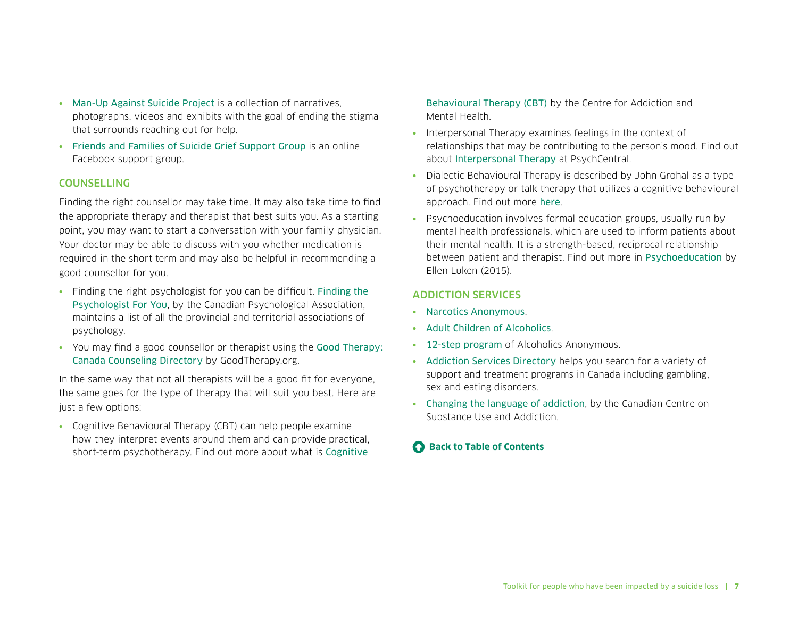- [Man-Up Against Suicide Project](http://www.manupagainstsuicide.ca/) is a collection of narratives, photographs, videos and exhibits with the goal of ending the stigma that surrounds reaching out for help.
- [Friends and Families of Suicide Grief Support Group](https://www.facebook.com/groups/98668838382/) is an online Facebook support group.

#### <span id="page-6-0"></span>**COUNSELLING**

Finding the right counsellor may take time. It may also take time to find the appropriate therapy and therapist that best suits you. As a starting point, you may want to start a conversation with your family physician. Your doctor may be able to discuss with you whether medication is required in the short term and may also be helpful in recommending a good counsellor for you.

- Finding the right psychologist for you can be difficult. [Finding the](https://www.cpa.ca/public/findingapsychologist/)  [Psychologist For You](https://www.cpa.ca/public/findingapsychologist/), by the Canadian Psychological Association, maintains a list of all the provincial and territorial associations of psychology.
- You may find a good counsellor or therapist using the [Good Therapy:](https://www.goodtherapy.org/therapists/canada)  [Canada Counseling Directory](https://www.goodtherapy.org/therapists/canada) by [GoodTherapy.org](https://www.goodtherapy.org/).

In the same way that not all therapists will be a good fit for everyone, the same goes for the type of therapy that will suit you best. Here are just a few options:

• Cognitive Behavioural Therapy (CBT) can help people examine how they interpret events around them and can provide practical, short-term psychotherapy. Find out more about what is [Cognitive](https://www.camh.ca/en/health-info/mental-illness-and-addiction-index/cognitive-behavioural-therapy) 

[Behavioural Therapy \(CBT\)](https://www.camh.ca/en/health-info/mental-illness-and-addiction-index/cognitive-behavioural-therapy) by the Centre for Addiction and Mental Health.

- Interpersonal Therapy examines feelings in the context of relationships that may be contributing to the person's mood. Find out about [Interpersonal Therapy](https://psychcentral.com/lib/about-interpersonal-therapy/) at PsychCentral.
- Dialectic Behavioural Therapy is described by John Grohal as a type of psychotherapy or talk therapy that utilizes a cognitive behavioural approach. Find out more [here](https://psychcentral.com/lib/an-overview-of-dialectical-behavior-therapy/).
- Psychoeducation involves formal education groups, usually run by mental health professionals, which are used to inform patients about their mental health. It is a strength-based, reciprocal relationship between patient and therapist. Find out more in [Psychoeducation](http://www.oxfordbibliographies.com/view/document/obo-9780195389678/obo-9780195389678-0224.xml) by Ellen Luken (2015).

#### <span id="page-6-1"></span>ADDICTION SERVICES

- [Narcotics Anonymous](https://www.na.org/).
- [Adult Children of Alcoholics](https://adultchildren.org/).
- [12-step program](https://www.addictioncenter.com/treatment/12-step-programs/) of Alcoholics Anonymous.
- [Addiction Services](http://www.canadadrugrehab.ca/gambling-sex-eating-disorder-treatment/gambling-addiction-treatment/) Directory helps you search for a variety of support and treatment programs in Canada including gambling, sex and eating disorders.
- [Changing the language of addiction](http://www.ccsa.ca/Resource%20Library/CCSA-Language-of-Addiction-Words-Matter-Fact-Sheet-2017-en.pdf), by the Canadian Centre on Substance Use and Addiction.

#### **[Back to Table of Contents](#page-2-0)**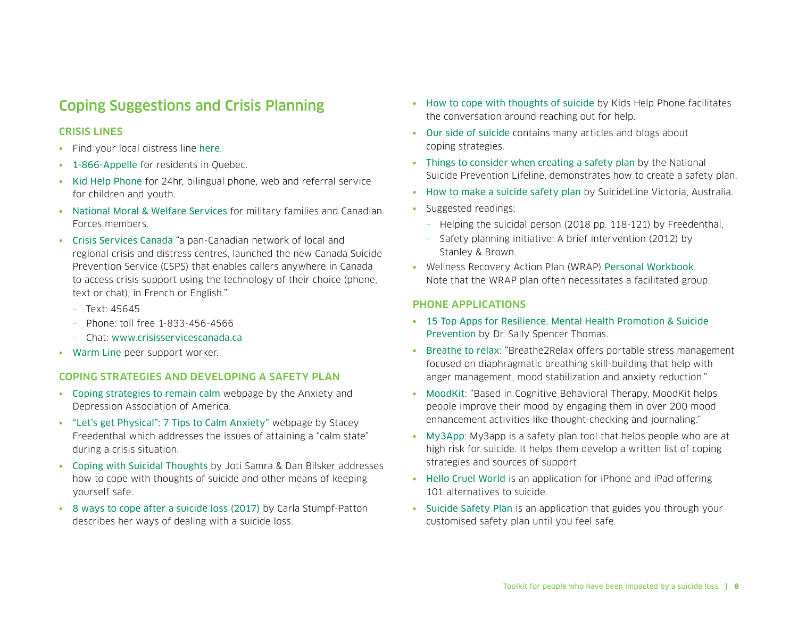# <span id="page-7-0"></span>Coping Suggestions and Crisis Planning

#### <span id="page-7-1"></span>CRISIS LINES

- Find your local distress line [here](https://suicideprevention.ca/need-help/).
- [1-866-Appelle](http://www.aqps.info/besoin-aide-urgente/liste-centres-prevention-suicide.html?region=8) for residents in Quebec.
- [Kid Help Phone](https://kidshelpphone.ca) for 24hr, bilingual phone, web and referral service for children and youth.
- [National Moral & Welfare Services](https://www.cafconnection.ca/National/Stay-Connected/Family-Information-Line/Connect-With-Us.aspx) for military families and Canadian Forces members.
- [Crisis Services Canada](http://www.crisisservicescanada.ca/) "a pan-Canadian network of local and regional crisis and distress centres, launched the new Canada Suicide Prevention Service (CSPS) that enables callers anywhere in Canada to access crisis support using the technology of their choice (phone, text or chat), in French or English."
	- Text: 45645
	- Phone: toll free 1-833-456-4566
	- Chat: [www.crisisservicescanada.ca](http://www.crisisservicescanada.ca)
- [Warm Line](http://www.warmline.ca/) peer support worker.

#### <span id="page-7-2"></span>COPING STRATEGIES AND DEVELOPING A SAFETY PLAN

- [Coping strategies to remain calm](https://adaa.org/tips) webpage by the Anxiety and Depression Association of America.
- ["Let's get Physical": 7 Tips to Calm Anxiety"](https://www.speakingofsuicide.com/2015/08/20/tips-to-calm-anxiety/) webpage by Stacey Freedenthal which addresses the issues of attaining a "calm state" during a crisis situation.
- [Coping with Suicidal Thoughts](https://thelifelinecanada.ca/wp-content/uploads/2016/09/Coping-With-Suicidal-Thoughts.pdf) by Joti Samra & Dan Bilsker addresses how to cope with thoughts of suicide and other means of keeping yourself safe.
- [8 ways to cope after a suicide loss \(2017\)](https://www.taps.org/articles/2017/waystocopeaftersuicideloss) by Carla Stumpf-Patton describes her ways of dealing with a suicide loss.
- [How to cope with thoughts of suicide](https://kidshelpphone.ca/get-info/how-cope-thoughts-suicide/) by Kids Help Phone facilitates the conversation around reaching out for help.
- [Our side of suicide](http://www.oursideofsuicide.com/) contains many articles and blogs about coping strategies.
- [Things to consider when creating a safety plan](https://create.piktochart.com/output/3641390-how-to-create-a-safety-plan) by the National Suicide Prevention Lifeline, demonstrates how to create a safety plan.
- [How to make a suicide safety plan](https://www.suicideline.org.au/resource/making-suicide-safety-plan/) by SuicideLine Victoria, Australia.
- Suggested readings:
	- Helping the suicidal person (2018 pp. 118-121) by Freedenthal.
	- Safety planning initiative: A brief intervention (2012) by Stanley & Brown.
- Wellness Recovery Action Plan (WRAP) [Personal Workbook](https://growastrongfamily.org/wp-content/uploads/2018/05/Wellness-Recovery-Action-Plan.pdf). Note that the WRAP plan often necessitates a facilitated group.

#### <span id="page-7-3"></span>PHONE APPLICATIONS

- [15 Top Apps for Resilience, Mental Health Promotion & Suicide](https://www.sallyspencerthomas.com/dr-sally-speaks-blog/2017/10/8/15-top-apps-for-resilience-mental-health-promotion-suicide-prevention)  [Prevention](https://www.sallyspencerthomas.com/dr-sally-speaks-blog/2017/10/8/15-top-apps-for-resilience-mental-health-promotion-suicide-prevention) by Dr. Sally Spencer Thomas.
- [Breathe to relax](https://apps.apple.com/ca/app/breathe2relax/id425720246): "Breathe2Relax offers portable stress management focused on diaphragmatic breathing skill-building that help with anger management, mood stabilization and anxiety reduction."
- [MoodKit](http://www.thriveport.com/products/moodkit/): "Based in Cognitive Behavioral Therapy, MoodKit helps people improve their mood by engaging them in over 200 mood enhancement activities like thought-checking and journaling."
- [My3App](http://my3app.org/): My3app is a safety plan tool that helps people who are at high risk for suicide. It helps them develop a written list of coping strategies and sources of support.
- [Hello Cruel World](https://itunes.apple.com/us/app/hello-cruel-world/id396044348?mt=8) is an application for iPhone and iPad offering 101 alternatives to suicide.
- [Suicide Safety Plan](https://play.google.com/store/apps/details?id=com.moodtools.crisis.app&hl=en) is an application that guides you through your customised safety plan until you feel safe.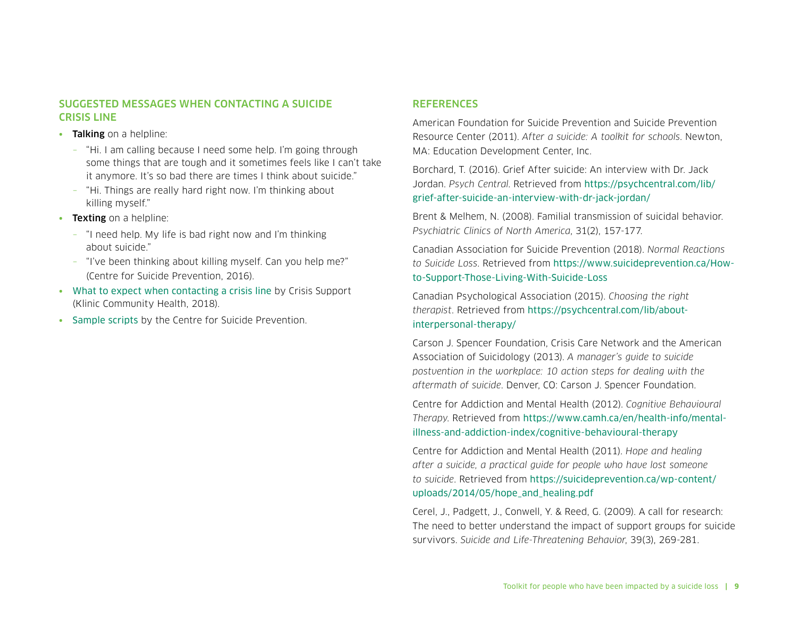#### <span id="page-8-0"></span>SUGGESTED MESSAGES WHEN CONTACTING A SUICIDE CRISIS LINE

- Talking on a helpline:
	- "Hi. I am calling because I need some help. I'm going through some things that are tough and it sometimes feels like I can't take it anymore. It's so bad there are times I think about suicide."
	- "Hi. Things are really hard right now. I'm thinking about killing myself."
- Texting on a helpline:
	- "I need help. My life is bad right now and I'm thinking about suicide."
	- "I've been thinking about killing myself. Can you help me?" (Centre for Suicide Prevention, 2016).
- [What to expect when contacting a crisis line](http://klinic.mb.ca/crisis-support/) by Crisis Support (Klinic Community Health, 2018).
- [Sample scripts](https://www.suicideinfo.ca/resource/youthatrisk/) by the Centre for Suicide Prevention.

#### <span id="page-8-1"></span>**REFERENCES**

American Foundation for Suicide Prevention and Suicide Prevention Resource Center (2011). *After a suicide: A toolkit for schools*. Newton, MA: Education Development Center, Inc.

Borchard, T. (2016). Grief After suicide: An interview with Dr. Jack Jordan. *Psych Central*. Retrieved from [https://psychcentral.com/lib/](https://psychcentral.com/lib/grief-after-suicide-an-interview-with-dr-jack-jordan/) [grief-after-suicide-an-interview-with-dr-jack-jordan/](https://psychcentral.com/lib/grief-after-suicide-an-interview-with-dr-jack-jordan/)

Brent & Melhem, N. (2008). Familial transmission of suicidal behavior. *Psychiatric Clinics of North America*, 31(2), 157-177.

Canadian Association for Suicide Prevention (2018). *Normal Reactions to Suicide Loss*. Retrieved from [https://www.suicideprevention.ca/How](https://www.suicideprevention.ca/How-to-Support-Those-Living-With-Suicide-Loss)[to-Support-Those-Living-With-Suicide-Loss](https://www.suicideprevention.ca/How-to-Support-Those-Living-With-Suicide-Loss)

Canadian Psychological Association (2015). *Choosing the right therapist*. Retrieved from [https://psychcentral.com/lib/about](https://psychcentral.com/lib/about-interpersonal-therapy/)[interpersonal-therapy/](https://psychcentral.com/lib/about-interpersonal-therapy/)

Carson J. Spencer Foundation, Crisis Care Network and the American Association of Suicidology (2013). *A manager's guide to suicide postvention in the workplace: 10 action steps for dealing with the aftermath of suicide*. Denver, CO: Carson J. Spencer Foundation.

Centre for Addiction and Mental Health (2012). *Cognitive Behavioural Therapy*. Retrieved from [https://www.camh.ca/en/health-info/mental](https://www.camh.ca/en/health-info/mental-illness-and-addiction-index/cognitive-behavioural-therapy)[illness-and-addiction-index/cognitive-behavioural-therapy](https://www.camh.ca/en/health-info/mental-illness-and-addiction-index/cognitive-behavioural-therapy)

Centre for Addiction and Mental Health (2011). *Hope and healing after a suicide, a practical guide for people who have lost someone to suicide*. Retrieved from [https://suicideprevention.ca/wp-content/](https://suicideprevention.ca/wp-content/uploads/2014/05/hope_and_healing.pdf) [uploads/2014/05/hope\\_and\\_healing.pdf](https://suicideprevention.ca/wp-content/uploads/2014/05/hope_and_healing.pdf)

Cerel, J., Padgett, J., Conwell, Y. & Reed, G. (2009). A call for research: The need to better understand the impact of support groups for suicide survivors. *Suicide and Life-Threatening Behavior*, 39(3), 269-281.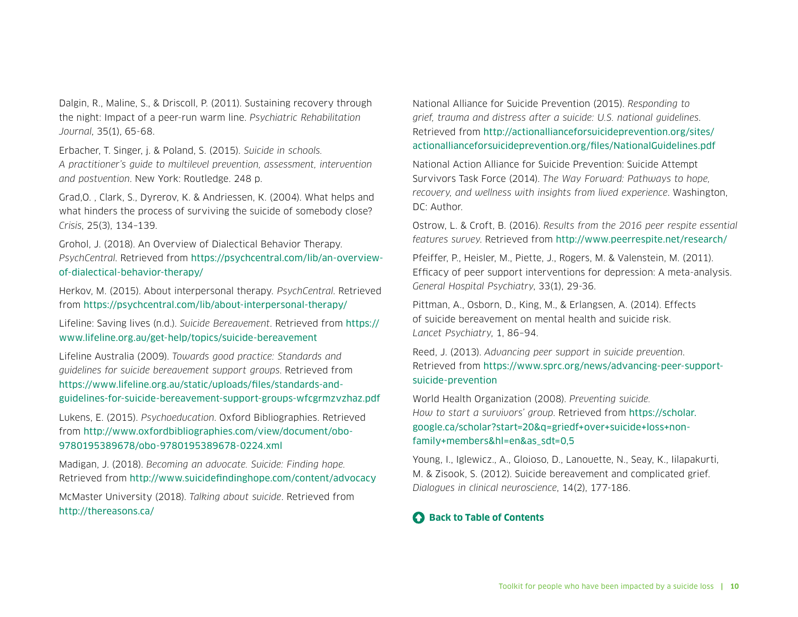Dalgin, R., Maline, S., & Driscoll, P. (2011). Sustaining recovery through the night: Impact of a peer-run warm line. *Psychiatric Rehabilitation Journal*, 35(1), 65-68.

Erbacher, T. Singer, j. & Poland, S. (2015). *Suicide in schools. A practitioner's guide to multilevel prevention, assessment, intervention and postvention*. New York: Routledge. 248 p.

Grad,O. , Clark, S., Dyrerov, K. & Andriessen, K. (2004). What helps and what hinders the process of surviving the suicide of somebody close? *Crisis*, 25(3), 134–139.

Grohol, J. (2018). An Overview of Dialectical Behavior Therapy. *PsychCentral*. Retrieved from [https://psychcentral.com/lib/an-overview](https://psychcentral.com/lib/an-overview-of-dialectical-behavior-therapy/)[of-dialectical-behavior-therapy/](https://psychcentral.com/lib/an-overview-of-dialectical-behavior-therapy/)

Herkov, M. (2015). About interpersonal therapy. *PsychCentral*. Retrieved from [https://psychcentral.com/lib/about-interpersonal-therapy/](https://psychcentral.com/lib/about-interpersonal-therapy/ ) 

Lifeline: Saving lives (n.d.). *Suicide Bereavement*. Retrieved from [https://](https://www.lifeline.org.au/get-help/topics/suicide-bereavement) [www.lifeline.org.au/get-help/topics/suicide-bereavement](https://www.lifeline.org.au/get-help/topics/suicide-bereavement)

Lifeline Australia (2009). *Towards good practice: Standards and guidelines for suicide bereavement support groups*. Retrieved from [https://www.lifeline.org.au/static/uploads/files/standards-and](https://www.lifeline.org.au/static/uploads/files/standards-and-guidelines-for-suicide-bereavement-support-groups-wfcgrmzvzhaz.pdf)[guidelines-for-suicide-bereavement-support-groups-wfcgrmzvzhaz.pdf](https://www.lifeline.org.au/static/uploads/files/standards-and-guidelines-for-suicide-bereavement-support-groups-wfcgrmzvzhaz.pdf)

Lukens, E. (2015). *Psychoeducation*. Oxford Bibliographies. Retrieved from [http://www.oxfordbibliographies.com/view/document/obo-](http://www.oxfordbibliographies.com/view/document/obo-9780195389678/obo-9780195389678-0224.xml)[9780195389678/obo-9780195389678-0224.xml](http://www.oxfordbibliographies.com/view/document/obo-9780195389678/obo-9780195389678-0224.xml)

Madigan, J. (2018). *Becoming an advocate. Suicide: Finding hope.* Retrieved from <http://www.suicidefindinghope.com/content/advocacy> McMaster University (2018). *Talking about suicide*. Retrieved from <http://thereasons.ca/>

National Alliance for Suicide Prevention (2015). *Responding to grief, trauma and distress after a suicide: U.S. national guidelines*. Retrieved from [http://actionallianceforsuicideprevention.org/sites/](http://actionallianceforsuicideprevention.org/sites/actionallianceforsuicideprevention.org/files/NationalGuidelines.pdf) [actionallianceforsuicideprevention.org/files/NationalGuidelines.pdf](http://actionallianceforsuicideprevention.org/sites/actionallianceforsuicideprevention.org/files/NationalGuidelines.pdf)

National Action Alliance for Suicide Prevention: Suicide Attempt Survivors Task Force (2014). *The Way Forward: Pathways to hope, recovery, and wellness with insights from lived experience*. Washington, DC: Author.

Ostrow, L. & Croft, B. (2016). *Results from the 2016 peer respite essential features survey*. Retrieved from <http://www.peerrespite.net/research/>

Pfeiffer, P., Heisler, M., Piette, J., Rogers, M. & Valenstein, M. (2011). Efficacy of peer support interventions for depression: A meta-analysis. *General Hospital Psychiatry*, 33(1), 29-36.

Pittman, A., Osborn, D., King, M., & Erlangsen, A. (2014). Effects of suicide bereavement on mental health and suicide risk. *Lancet Psychiatry*, 1, 86–94.

Reed, J. (2013). *Advancing peer support in suicide prevention*. Retrieved from [https://www.sprc.org/news/advancing-peer-support](https://www.sprc.org/news/advancing-peer-support-suicide-prevention)[suicide-prevention](https://www.sprc.org/news/advancing-peer-support-suicide-prevention)

World Health Organization (2008). *Preventing suicide. How to start a survivors' group*. Retrieved from [https://scholar.](https://scholar.google.ca/scholar?start=20&q=griedf+over+suicide+loss+non-family+members&hl=en&as_sdt=0,5) [google.ca/scholar?start=20&q=griedf+over+suicide+loss+non](https://scholar.google.ca/scholar?start=20&q=griedf+over+suicide+loss+non-family+members&hl=en&as_sdt=0,5)[family+members&hl=en&as\\_sdt=0,5](https://scholar.google.ca/scholar?start=20&q=griedf+over+suicide+loss+non-family+members&hl=en&as_sdt=0,5)

Young, I., Iglewicz., A., Gloioso, D., Lanouette, N., Seay, K., Iilapakurti, M. & Zisook, S. (2012). Suicide bereavement and complicated grief. *Dialogues in clinical neuroscience*, 14(2), 177-186.

#### **C** [Back to Table of Contents](#page-2-0)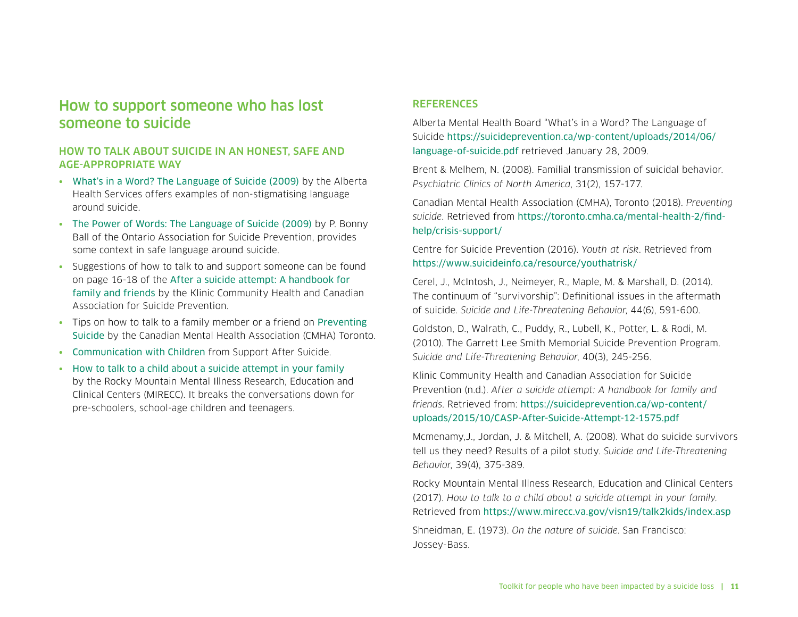### <span id="page-10-0"></span>How to support someone who has lost someone to suicide

#### <span id="page-10-1"></span>HOW TO TALK ABOUT SUICIDE IN AN HONEST, SAFE AND AGE‑APPROPRIATE WAY

- [What's in a Word? The Language of Suicide \(2009\)](https://www.suicideinfo.ca/resource%20/suicideandlanguage/) by the Alberta Health Services offers examples of non-stigmatising language around suicide.
- [The Power of Words: The Language of Suicide \(2009\)](http://ospn.ca/index.php/about-oasp/news/190-the-power-of-words-the-language-of-suicide) by P. Bonny Ball of the Ontario Association for Suicide Prevention, provides some context in safe language around suicide.
- Suggestions of how to talk to and support someone can be found on page 16-18 of the [After a suicide attempt: A handbook for](https://klinic.mb.ca/wp-content/uploads/2015/07/After-a-Suicide-A-Practical-and-Personal-Guide-for-Survivors.pdf)  [family and friends](https://klinic.mb.ca/wp-content/uploads/2015/07/After-a-Suicide-A-Practical-and-Personal-Guide-for-Survivors.pdf) by the Klinic Community Health and Canadian Association for Suicide Prevention.
- Tips on how to talk to a family member or a friend on [Preventing](https://cmha.ca/brochure/preventing-suicide/)  [Suicide](https://cmha.ca/brochure/preventing-suicide/) by the Canadian Mental Health Association (CMHA) Toronto.
- [Communication with Children](http://www.supportaftersuicide.org.au/what-to-do/communicating-with-children) from Support After Suicide.
- [How to talk to a child about a suicide attempt in your family](https://www.mirecc.va.gov/visn19/talk2kids/) by the Rocky Mountain Mental Illness Research, Education and Clinical Centers (MIRECC). It breaks the conversations down for pre-schoolers, school-age children and teenagers.

#### <span id="page-10-2"></span>**[REFERENCES](#page-10-2)**

Alberta Mental Health Board "What's in a Word? The Language of Suicide [https://suicideprevention.ca/wp-content/uploads/2014/06/](https://suicideprevention.ca/wp-content/uploads/2014/06/language-of-suicide.pdf) [language-of-suicide.pdf](https://suicideprevention.ca/wp-content/uploads/2014/06/language-of-suicide.pdf) retrieved January 28, 2009.

Brent & Melhem, N. (2008). Familial transmission of suicidal behavior. *Psychiatric Clinics of North America*, 31(2), 157-177.

Canadian Mental Health Association (CMHA), Toronto (2018). *Preventing suicide*. Retrieved from [https://toronto.cmha.ca/mental-health-2/find](https://toronto.cmha.ca/mental-health-2/find-help/crisis-support/)[help/crisis-support/](https://toronto.cmha.ca/mental-health-2/find-help/crisis-support/)

Centre for Suicide Prevention (2016). *Youth at risk*. Retrieved from <https://www.suicideinfo.ca/resource/youthatrisk/>

Cerel, J., McIntosh, J., Neimeyer, R., Maple, M. & Marshall, D. (2014). The continuum of "survivorship": Definitional issues in the aftermath of suicide. *Suicide and Life-Threatening Behavior*, 44(6), 591-600.

Goldston, D., Walrath, C., Puddy, R., Lubell, K., Potter, L. & Rodi, M. (2010). The Garrett Lee Smith Memorial Suicide Prevention Program. *Suicide and Life-Threatening Behavior*, 40(3), 245-256.

Klinic Community Health and Canadian Association for Suicide Prevention (n.d.). *After a suicide attempt: A handbook for family and friends*. Retrieved from: [https://suicideprevention.ca/wp-content/](https://suicideprevention.ca/wp-content/uploads/2015/10/CASP-After-Suicide-Attempt-12-1575.pdf) [uploads/2015/10/CASP-After-Suicide-Attempt-12-1575.pdf](https://suicideprevention.ca/wp-content/uploads/2015/10/CASP-After-Suicide-Attempt-12-1575.pdf)

Mcmenamy,J., Jordan, J. & Mitchell, A. (2008). What do suicide survivors tell us they need? Results of a pilot study. *Suicide and Life-Threatening Behavior*, 39(4), 375-389.

Rocky Mountain Mental Illness Research, Education and Clinical Centers (2017). *How to talk to a child about a suicide attempt in your family*. Retrieved from <https://www.mirecc.va.gov/visn19/talk2kids/index.asp>

Shneidman, E. (1973). *On the nature of suicide*. San Francisco: Jossey-Bass.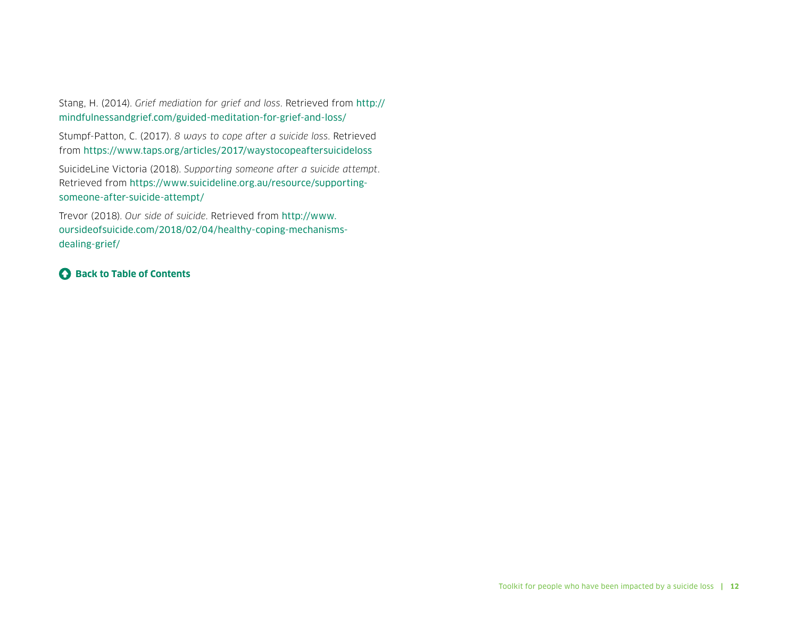Stang, H. (2014). *Grief mediation for grief and loss*. Retrieved from [http://](http://mindfulnessandgrief.com/guided-meditation-for-grief-and-loss/) [mindfulnessandgrief.com/guided-meditation-for-grief-and-loss/](http://mindfulnessandgrief.com/guided-meditation-for-grief-and-loss/)

Stumpf-Patton, C. (2017). *8 ways to cope after a suicide loss*. Retrieved from <https://www.taps.org/articles/2017/waystocopeaftersuicideloss>

SuicideLine Victoria (2018). *Supporting someone after a suicide attempt*. Retrieved from [https://www.suicideline.org.au/resource/supporting](https://www.suicideline.org.au/resource/supporting-someone-after-suicide-attempt/)[someone-after-suicide-attempt/](https://www.suicideline.org.au/resource/supporting-someone-after-suicide-attempt/)

Trevor (2018). *Our side of suicide*. Retrieved from [http://www.](http://www.oursideofsuicide.com/2018/02/04/healthy-coping-mechanisms-dealing-grief/) [oursideofsuicide.com/2018/02/04/healthy-coping-mechanisms](http://www.oursideofsuicide.com/2018/02/04/healthy-coping-mechanisms-dealing-grief/)[dealing-grief/](http://www.oursideofsuicide.com/2018/02/04/healthy-coping-mechanisms-dealing-grief/)

#### **A** [Back to Table of Contents](#page-2-0)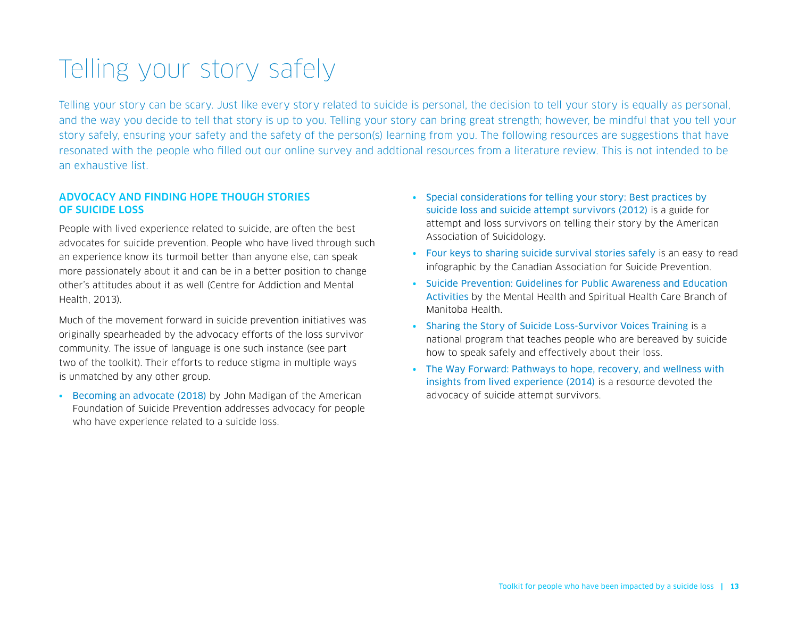# <span id="page-12-0"></span>Telling your story safely

Telling your story can be scary. Just like every story related to suicide is personal, the decision to tell your story is equally as personal, and the way you decide to tell that story is up to you. Telling your story can bring great strength; however, be mindful that you tell your story safely, ensuring your safety and the safety of the person(s) learning from you. The following resources are suggestions that have resonated with the people who filled out our online survey and addtional resources from a literature review. This is not intended to be an exhaustive list.

#### ADVOCACY AND FINDING HOPE THOUGH STORIES OF SUICIDE LOSS

People with lived experience related to suicide, are often the best advocates for suicide prevention. People who have lived through such an experience know its turmoil better than anyone else, can speak more passionately about it and can be in a better position to change other's attitudes about it as well (Centre for Addiction and Mental Health, 2013).

Much of the movement forward in suicide prevention initiatives was originally spearheaded by the advocacy efforts of the loss survivor community. The issue of language is one such instance (see part two of the toolkit). Their efforts to reduce stigma in multiple ways is unmatched by any other group.

• [Becoming an advocate \(2018\)](https://afsp.org/resources-for-advocates) by John Madigan of the American Foundation of Suicide Prevention addresses advocacy for people who have experience related to a suicide loss.

- [Special considerations for telling your story: Best practices by](https://suicidology.org/wp-content/uploads/2019/07/Best_Practices_Presentations_Suicide_Loss_Suicide_Attempt_Survivors.pdf)  [suicide loss and suicide attempt survivors \(2012\)](https://suicidology.org/wp-content/uploads/2019/07/Best_Practices_Presentations_Suicide_Loss_Suicide_Attempt_Survivors.pdf) is a guide for attempt and loss survivors on telling their story by the American Association of Suicidology.
- [Four keys to sharing suicide survival stories safely](https://thelifelinecanada.ca/%20resources/survivors-of-suicide-loss/) is an easy to read infographic by the Canadian Association for Suicide Prevention.
- [Suicide Prevention: Guidelines for Public Awareness and Education](https://www.gov.mb.ca/health/mh/docs/spg.pdf)  [Activities](https://www.gov.mb.ca/health/mh/docs/spg.pdf) by the Mental Health and Spiritual Health Care Branch of Manitoba Health.
- [Sharing the Story of Suicide Loss-Survivor Voices Training](https://www.sprc.org/resources-programs/survivor-voices-sharing-story-suicide-loss) is a national program that teaches people who are bereaved by suicide how to speak safely and effectively about their loss.
- [The Way Forward: Pathways to hope, recovery, and wellness with](https://theactionalliance.org/resource/way-forward-pathways-hope-recovery-and-wellness-insights-lived-experience)  [insights from lived experience \(2014\)](https://theactionalliance.org/resource/way-forward-pathways-hope-recovery-and-wellness-insights-lived-experience) is a resource devoted the advocacy of suicide attempt survivors.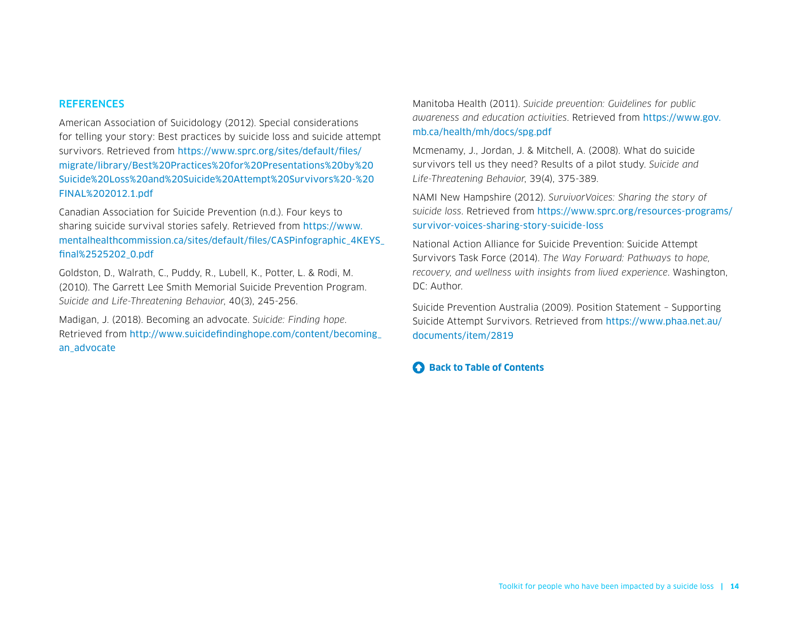#### <span id="page-13-0"></span>**REFERENCES**

American Association of Suicidology (2012). Special considerations for telling your story: Best practices by suicide loss and suicide attempt survivors. Retrieved from [https://www.sprc.org/sites/default/files/](https://www.sprc.org/sites/default/files/migrate/library/Best%20Practices%20for%20Presentations%20by%20Suicide%20Loss%20and%20Suicide%20Attempt%20Survivors%20-%20FINAL%202012.1.pdf) [migrate/library/Best%20Practices%20for%20Presentations%20by%20](https://www.sprc.org/sites/default/files/migrate/library/Best%20Practices%20for%20Presentations%20by%20Suicide%20Loss%20and%20Suicide%20Attempt%20Survivors%20-%20FINAL%202012.1.pdf) [Suicide%20Loss%20and%20Suicide%20Attempt%20Survivors%20-%20](https://www.sprc.org/sites/default/files/migrate/library/Best%20Practices%20for%20Presentations%20by%20Suicide%20Loss%20and%20Suicide%20Attempt%20Survivors%20-%20FINAL%202012.1.pdf) [FINAL%202012.1.pdf](https://www.sprc.org/sites/default/files/migrate/library/Best%20Practices%20for%20Presentations%20by%20Suicide%20Loss%20and%20Suicide%20Attempt%20Survivors%20-%20FINAL%202012.1.pdf)

Canadian Association for Suicide Prevention (n.d.). Four keys to sharing suicide survival stories safely. Retrieved from [https://www.](https://www.mentalhealthcommission.ca/sites/default/files/CASPinfographic_4KEYS_final%2525202_0.pdf) [mentalhealthcommission.ca/sites/default/files/CASPinfographic\\_4KEYS\\_](https://www.mentalhealthcommission.ca/sites/default/files/CASPinfographic_4KEYS_final%2525202_0.pdf) [final%2525202\\_0.pdf](https://www.mentalhealthcommission.ca/sites/default/files/CASPinfographic_4KEYS_final%2525202_0.pdf)

Goldston, D., Walrath, C., Puddy, R., Lubell, K., Potter, L. & Rodi, M. (2010). The Garrett Lee Smith Memorial Suicide Prevention Program. *Suicide and Life-Threatening Behavior*, 40(3), 245-256.

Madigan, J. (2018). Becoming an advocate. *Suicide: Finding hope*. Retrieved from [http://www.suicidefindinghope.com/content/becoming\\_](http://www.suicidefindinghope.com/content/becoming_an_advocate) [an\\_advocate](http://www.suicidefindinghope.com/content/becoming_an_advocate)

Manitoba Health (2011). *Suicide prevention: Guidelines for public awareness and education activities*. Retrieved from [https://www.gov.](https://www.gov.mb.ca/health/mh/docs/spg.pdf) [mb.ca/health/mh/docs/spg.pdf](https://www.gov.mb.ca/health/mh/docs/spg.pdf)

Mcmenamy, J., Jordan, J. & Mitchell, A. (2008). What do suicide survivors tell us they need? Results of a pilot study. *Suicide and Life-Threatening Behavior*, 39(4), 375-389.

NAMI New Hampshire (2012). *SurvivorVoices: Sharing the story of suicide loss*. Retrieved from [https://www.sprc.org/resources-programs/](https://www.sprc.org/resources-programs/survivor-voices-sharing-story-suicide-loss) [survivor-voices-sharing-story-suicide-loss](https://www.sprc.org/resources-programs/survivor-voices-sharing-story-suicide-loss)

National Action Alliance for Suicide Prevention: Suicide Attempt Survivors Task Force (2014). *The Way Forward: Pathways to hope, recovery, and wellness with insights from lived experience*. Washington, DC: Author.

Suicide Prevention Australia (2009). Position Statement – Supporting Suicide Attempt Survivors. Retrieved from [https://www.phaa.net.au/](https://www.phaa.net.au/documents/item/2819) [documents/item/2819](https://www.phaa.net.au/documents/item/2819)

#### **[Back to Table of Contents](#page-2-0)**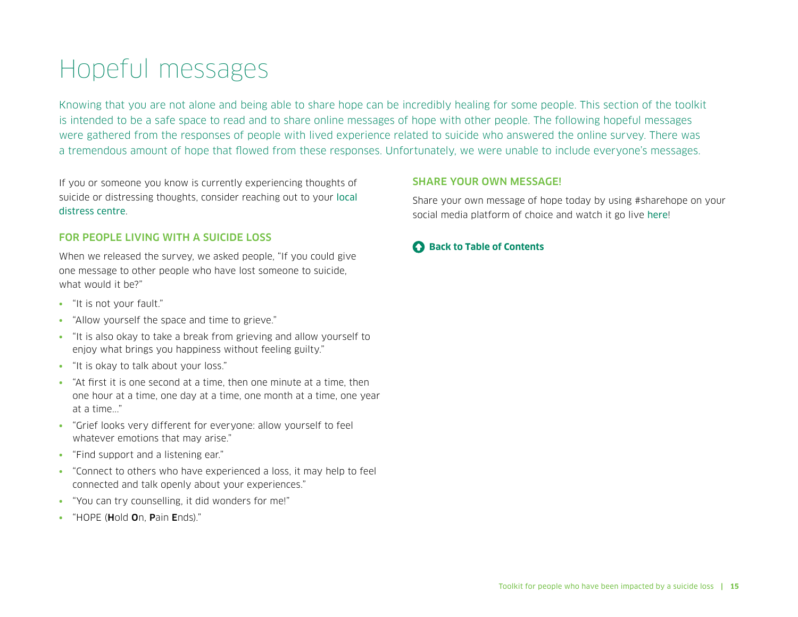# <span id="page-14-0"></span>Hopeful messages

Knowing that you are not alone and being able to share hope can be incredibly healing for some people. This section of the toolkit is intended to be a safe space to read and to share online messages of hope with other people. The following hopeful messages were gathered from the responses of people with lived experience related to suicide who answered the online survey. There was a tremendous amount of hope that flowed from these responses. Unfortunately, we were unable to include everyone's messages.

If you or someone you know is currently experiencing thoughts of suicide or distressing thoughts, consider reaching out to your [local](https://www.crisisservicescanada.ca/en/)  [distress centre](https://www.crisisservicescanada.ca/en/).

#### <span id="page-14-1"></span>FOR PEOPLE LIVING WITH A SUICIDE LOSS

When we released the survey, we asked people, "If you could give one message to other people who have lost someone to suicide, what would it be?"

- "It is not your fault."
- "Allow yourself the space and time to grieve."
- "It is also okay to take a break from grieving and allow yourself to enjoy what brings you happiness without feeling guilty."
- "It is okay to talk about your loss."
- "At first it is one second at a time, then one minute at a time, then one hour at a time, one day at a time, one month at a time, one year at a time..."
- "Grief looks very different for everyone: allow yourself to feel whatever emotions that may arise."
- "Find support and a listening ear."
- "Connect to others who have experienced a loss, it may help to feel connected and talk openly about your experiences."
- "You can try counselling, it did wonders for me!"
- "HOPE (Hold **O**n, **Pain Ends**)."

#### <span id="page-14-2"></span>SHARE YOUR OWN MESSAGE!

Share your own message of hope today by using #sharehope on your social media platform of choice and watch it go live [here](https://www.mentalhealthcommission.ca/English/sharehope)!

#### **C** [Back to Table of Contents](#page-2-0)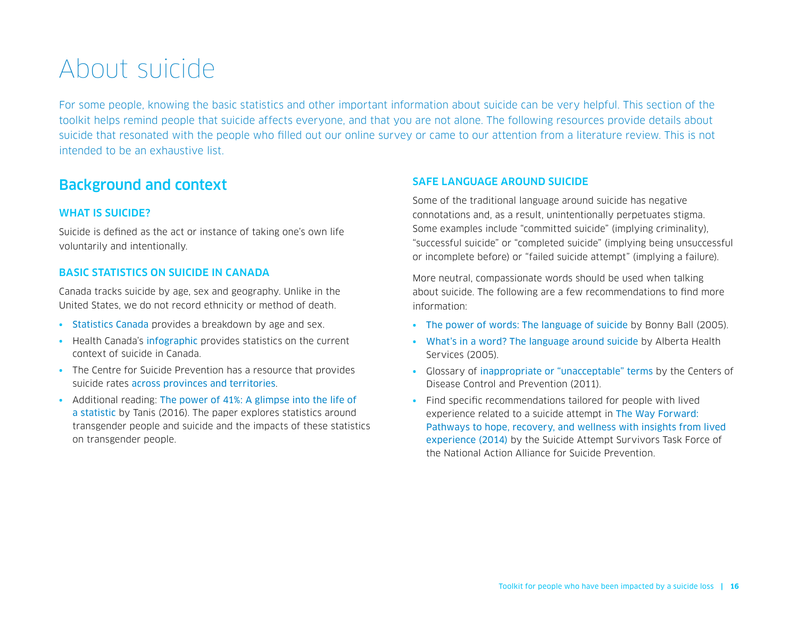# <span id="page-15-0"></span>About suicide

For some people, knowing the basic statistics and other important information about suicide can be very helpful. This section of the toolkit helps remind people that suicide affects everyone, and that you are not alone. The following resources provide details about suicide that resonated with the people who filled out our online survey or came to our attention from a literature review. This is not intended to be an exhaustive list.

## <span id="page-15-1"></span>Background and context

#### <span id="page-15-2"></span>WHAT IS SUICIDE?

Suicide is defined as the act or instance of taking one's own life voluntarily and intentionally.

#### <span id="page-15-3"></span>BASIC STATISTICS ON SUICIDE IN CANADA

Canada tracks suicide by age, sex and geography. Unlike in the United States, we do not record ethnicity or method of death.

- [Statistics Canada](https://www.statcan.gc.ca/tables-tableaux/sum-som/l01/cst01/hlth66d-eng.htm) provides a breakdown by age and sex.
- Health Canada's *[infographic](https://www.canada.ca/en/public-health/services/publications/healthy-living/suicide-canada-infographic.html)* provides statistics on the current context of suicide in Canada.
- The Centre for Suicide Prevention has a resource that provides suicide rates [across provinces and territories](https://www.suicideinfo.ca/resource/cross-canada-comparison-statistics/).
- Additional reading: [The power of 41%: A glimpse into the life of](https://www.suicideinfo.ca/resource/siecno-20160368/)  [a statistic](https://www.suicideinfo.ca/resource/siecno-20160368/) by Tanis (2016). The paper explores statistics around transgender people and suicide and the impacts of these statistics on transgender people.

#### <span id="page-15-4"></span>SAFE LANGUAGE AROUND SUICIDE

Some of the traditional language around suicide has negative connotations and, as a result, unintentionally perpetuates stigma. Some examples include "committed suicide" (implying criminality), "successful suicide" or "completed suicide" (implying being unsuccessful or incomplete before) or "failed suicide attempt" (implying a failure).

More neutral, compassionate words should be used when talking about suicide. The following are a few recommendations to find more information:

- [The power of words: The language of suicide](https://www.suicideinfo.ca/wp-content/uploads/2016/08/IE3.pdf) by Bonny Ball (2005).
- [What's in a word? The language around suicide](https://myhealth.alberta.ca/Alberta/Pages/the-language-of-suicide.aspx) by Alberta Health Services (2005).
- Glossary of [inappropriate or "unacceptable" terms](https://www.cdc.gov/suicide/facts/) by the Centers of Disease Control and Prevention (2011).
- Find specific recommendations tailored for people with lived experience related to a suicide attempt in [The Way Forward:](https://theactionalliance.org/resource/way-forward-pathways-hope-recovery-and-wellness-insights-lived-experience)  [Pathways to hope, recovery, and wellness with insights from lived](https://theactionalliance.org/resource/way-forward-pathways-hope-recovery-and-wellness-insights-lived-experience)  [experience \(2014\)](https://theactionalliance.org/resource/way-forward-pathways-hope-recovery-and-wellness-insights-lived-experience) by the Suicide Attempt Survivors Task Force of the National Action Alliance for Suicide Prevention.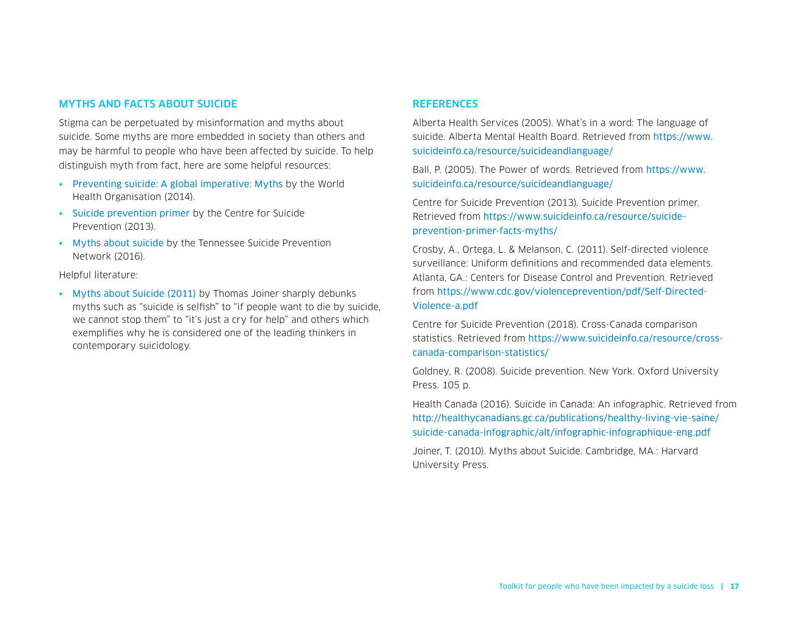#### <span id="page-16-0"></span>MYTHS AND FACTS ABOUT SUICIDE

Stigma can be perpetuated by misinformation and myths about suicide. Some myths are more embedded in society than others and may be harmful to people who have been affected by suicide. To help distinguish myth from fact, here are some helpful resources:

- [Preventing suicide: A global imperative: Myths](http://www.who.int/mental_health/suicide-prevention/myths.pdf) by the World Health Organisation (2014).
- [Suicide prevention primer](https://www.suicideinfo.ca/resource/suicide-prevention-primer-facts-myths/) by the Centre for Suicide Prevention (2013).
- [Myths about suicide](https://tspn.org/?s=Myths+about+suicide#myths) by the Tennessee Suicide Prevention Network (2016).

Helpful literature:

• [Myths about Suicide \(2011\)](https://www.amazon.ca/Myths-about-Suicide-Thomas-Joiner/dp/0674061985) by Thomas Joiner sharply debunks myths such as "suicide is selfish" to "if people want to die by suicide, we cannot stop them" to "it's just a cry for help" and others which exemplifies why he is considered one of the leading thinkers in contemporary suicidology.

#### <span id="page-16-1"></span>**REFERENCES**

Alberta Health Services (2005). What's in a word: The language of suicide. Alberta Mental Health Board. Retrieved from [https://www.](https://www.suicideinfo.ca/resource/suicideandlanguage/) [suicideinfo.ca/resource/suicideandlanguage/](https://www.suicideinfo.ca/resource/suicideandlanguage/)

Ball, P. (2005). The Power of words. Retrieved from [https://www.](https://www.suicideinfo.ca/resource/suicideandlanguage/) [suicideinfo.ca/resource/suicideandlanguage/](https://www.suicideinfo.ca/resource/suicideandlanguage/)

Centre for Suicide Prevention (2013). Suicide Prevention primer. Retrieved from [https://www.suicideinfo.ca/resource/suicide](https://www.suicideinfo.ca/resource/suicide-prevention-primer-facts-myths/)[prevention-primer-facts-myths/](https://www.suicideinfo.ca/resource/suicide-prevention-primer-facts-myths/)

Crosby, A., Ortega, L. & Melanson, C. (2011). Self-directed violence surveillance: Uniform definitions and recommended data elements. Atlanta, GA.: Centers for Disease Control and Prevention. Retrieved from [https://www.cdc.gov/violenceprevention/pdf/Self-Directed-](https://www.cdc.gov/violenceprevention/pdf/Self-Directed-Violence-a.pdf)[Violence-a.pdf](https://www.cdc.gov/violenceprevention/pdf/Self-Directed-Violence-a.pdf)

Centre for Suicide Prevention (2018). Cross-Canada comparison statistics. Retrieved from [https://www.suicideinfo.ca/resource/cross](https://www.suicideinfo.ca/resource/cross-canada-comparison-statistics/)[canada-comparison-statistics/](https://www.suicideinfo.ca/resource/cross-canada-comparison-statistics/)

Goldney, R. (2008). Suicide prevention. New York. Oxford University Press. 105 p.

Health Canada (2016). Suicide in Canada: An infographic. Retrieved from [http://healthycanadians.gc.ca/publications/healthy-living-vie-saine/](http://healthycanadians.gc.ca/publications/healthy-living-vie-saine/suicide-canada-infographic/alt/infographic-infographique-eng.pdf) [suicide-canada-infographic/alt/infographic-infographique-eng.pdf](http://healthycanadians.gc.ca/publications/healthy-living-vie-saine/suicide-canada-infographic/alt/infographic-infographique-eng.pdf)

Joiner, T. (2010). Myths about Suicide. Cambridge, MA.: Harvard University Press.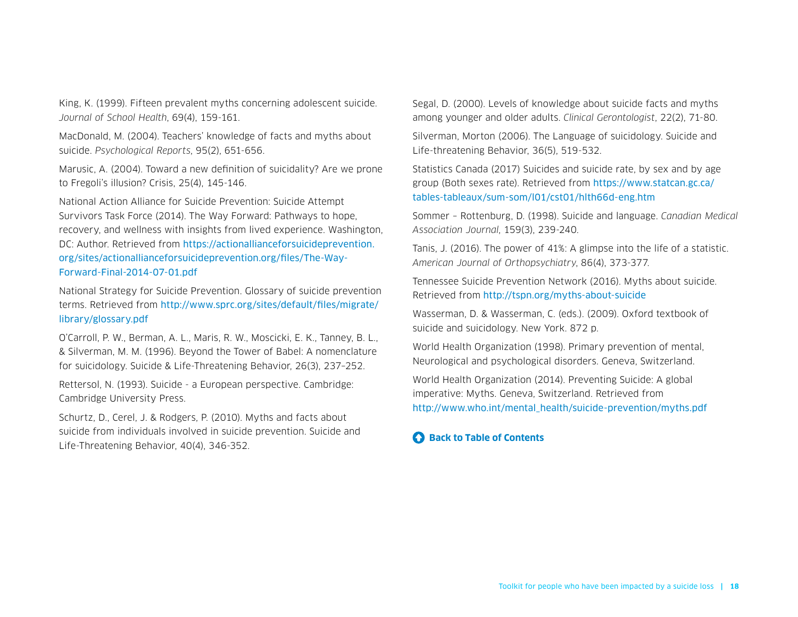King, K. (1999). Fifteen prevalent myths concerning adolescent suicide. *Journal of School Health*, 69(4), 159-161.

MacDonald, M. (2004). Teachers' knowledge of facts and myths about suicide. *Psychological Reports*, 95(2), 651-656.

Marusic, A. (2004). Toward a new definition of suicidality? Are we prone to Fregoli's illusion? Crisis, 25(4), 145-146.

National Action Alliance for Suicide Prevention: Suicide Attempt Survivors Task Force (2014). The Way Forward: Pathways to hope, recovery, and wellness with insights from lived experience. Washington, DC: Author. Retrieved from [https://actionallianceforsuicideprevention.](https://actionallianceforsuicideprevention.org/sites/actionallianceforsuicideprevention.org/files/The-Way-Forward-Final-2014-07-01.pdf) [org/sites/actionallianceforsuicideprevention.org/files/The-Way-](https://actionallianceforsuicideprevention.org/sites/actionallianceforsuicideprevention.org/files/The-Way-Forward-Final-2014-07-01.pdf)[Forward-Final-2014-07-01.pdf](https://actionallianceforsuicideprevention.org/sites/actionallianceforsuicideprevention.org/files/The-Way-Forward-Final-2014-07-01.pdf)

National Strategy for Suicide Prevention. Glossary of suicide prevention terms. Retrieved from [http://www.sprc.org/sites/default/files/migrate/](http://www.sprc.org/sites/default/files/migrate/library/glossary.pdf) [library/glossary.pdf](http://www.sprc.org/sites/default/files/migrate/library/glossary.pdf)

O'Carroll, P. W., Berman, A. L., Maris, R. W., Moscicki, E. K., Tanney, B. L., & Silverman, M. M. (1996). Beyond the Tower of Babel: A nomenclature for suicidology. Suicide & Life-Threatening Behavior, 26(3), 237–252.

Rettersol, N. (1993). Suicide - a European perspective. Cambridge: Cambridge University Press.

Schurtz, D., Cerel, J. & Rodgers, P. (2010). Myths and facts about suicide from individuals involved in suicide prevention. Suicide and Life-Threatening Behavior, 40(4), 346-352.

Segal, D. (2000). Levels of knowledge about suicide facts and myths among younger and older adults. *Clinical Gerontologist*, 22(2), 71-80.

Silverman, Morton (2006). The Language of suicidology. Suicide and Life-threatening Behavior, 36(5), 519-532.

Statistics Canada (2017) Suicides and suicide rate, by sex and by age group (Both sexes rate). Retrieved from [https://www.statcan.gc.ca/](https://www.statcan.gc.ca/tables-tableaux/sum-som/l01/cst01/hlth66d-eng.htm) [tables-tableaux/sum-som/l01/cst01/hlth66d-eng.htm](https://www.statcan.gc.ca/tables-tableaux/sum-som/l01/cst01/hlth66d-eng.htm)

Sommer – Rottenburg, D. (1998). Suicide and language. *Canadian Medical Association Journal*, 159(3), 239-240.

Tanis, J. (2016). The power of 41%: A glimpse into the life of a statistic. *American Journal of Orthopsychiatry*, 86(4), 373-377.

Tennessee Suicide Prevention Network (2016). Myths about suicide. Retrieved from<http://tspn.org/myths-about-suicide>

Wasserman, D. & Wasserman, C. (eds.). (2009). Oxford textbook of suicide and suicidology. New York. 872 p.

World Health Organization (1998). Primary prevention of mental, Neurological and psychological disorders. Geneva, Switzerland.

World Health Organization (2014). Preventing Suicide: A global imperative: Myths. Geneva, Switzerland. Retrieved from [http://www.who.int/mental\\_health/suicide-prevention/myths.pdf](http://www.who.int/mental_health/suicide-prevention/myths.pdf)

#### **C** [Back to Table of Contents](#page-2-0)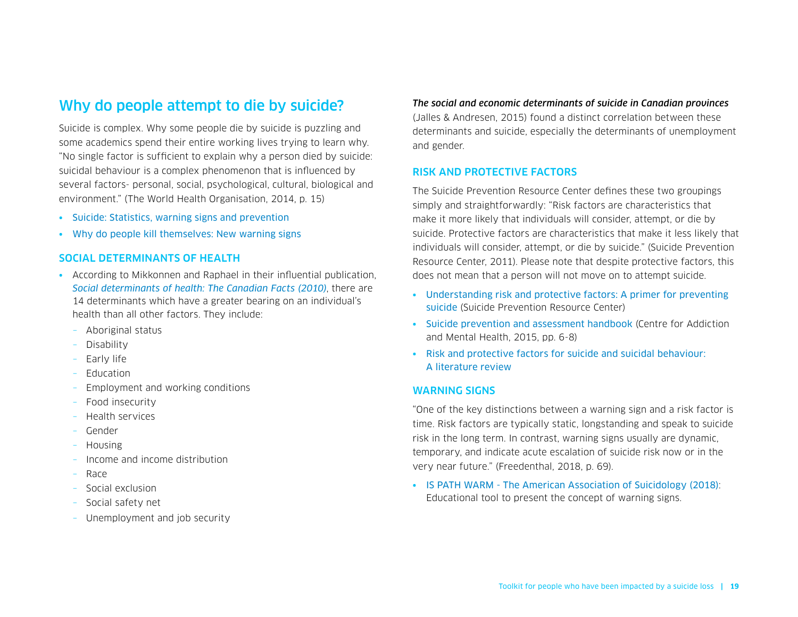## <span id="page-18-0"></span>Why do people attempt to die by suicide?

Suicide is complex. Why some people die by suicide is puzzling and some academics spend their entire working lives trying to learn why. "No single factor is sufficient to explain why a person died by suicide: suicidal behaviour is a complex phenomenon that is influenced by several factors- personal, social, psychological, cultural, biological and environment." (The World Health Organisation, 2014, p. 15)

- [Suicide: Statistics, warning signs and prevention](https://www.livescience.com/44615-suicide-help.html)
- [Why do people kill themselves: New warning signs](https://www.psychologytoday.com/blog/curious/201405/why-do-people-kill-themselves-new-warning-signs)

#### <span id="page-18-1"></span>SOCIAL DETERMINANTS OF HEALTH

- According to Mikkonnen and Raphael in their influential publication, *[Social determinants of health: The Canadian Facts \(2010\)](http://thecanadianfacts.org/the_canadian_facts.pdf)*, there are 14 determinants which have a greater bearing on an individual's health than all other factors. They include:
	- Aboriginal status
	- Disability
	- Early life
	- Education
	- Employment and working conditions
	- Food insecurity
	- Health services
	- Gender
	- Housing
	- Income and income distribution
	- Race
	- Social exclusion
	- Social safety net
	- Unemployment and job security

*The social and economic determinants of suicide in Canadian provinces* (Jalles & Andresen, 2015) found a distinct correlation between these determinants and suicide, especially the determinants of unemployment and gender.

#### <span id="page-18-2"></span>RISK AND PROTECTIVE FACTORS

The Suicide Prevention Resource Center defines these two groupings simply and straightforwardly: "Risk factors are characteristics that make it more likely that individuals will consider, attempt, or die by suicide. Protective factors are characteristics that make it less likely that individuals will consider, attempt, or die by suicide." (Suicide Prevention Resource Center, 2011). Please note that despite protective factors, this does not mean that a person will not move on to attempt suicide.

- [Understanding risk and protective factors: A primer for preventing](https://www.sprc.org/sites/default/files/migrate/library/RiskProtectiveFactorsPrimer.pdf)  [suicide](https://www.sprc.org/sites/default/files/migrate/library/RiskProtectiveFactorsPrimer.pdf) (Suicide Prevention Resource Center)
- [Suicide prevention and assessment handbook](https://www.camh.ca/en/health-info/mental-illness-and-addiction-index/suicide) (Centre for Addiction and Mental Health, 2015, pp. 6-8)
- [Risk and protective factors for suicide and suicidal behaviour:](https://dspace.stir.ac.uk/bitstream/1893/2206/1/Suicide%20review1.pdf)  [A literature review](https://dspace.stir.ac.uk/bitstream/1893/2206/1/Suicide%20review1.pdf)

#### <span id="page-18-3"></span>WARNING SIGNS

"One of the key distinctions between a warning sign and a risk factor is time. Risk factors are typically static, longstanding and speak to suicide risk in the long term. In contrast, warning signs usually are dynamic, temporary, and indicate acute escalation of suicide risk now or in the very near future." (Freedenthal, 2018, p. 69).

• [IS PATH WARM - The American Association of Suicidology \(2018\)](http://www.suicidology.org/resources/warning-signs): Educational tool to present the concept of warning signs.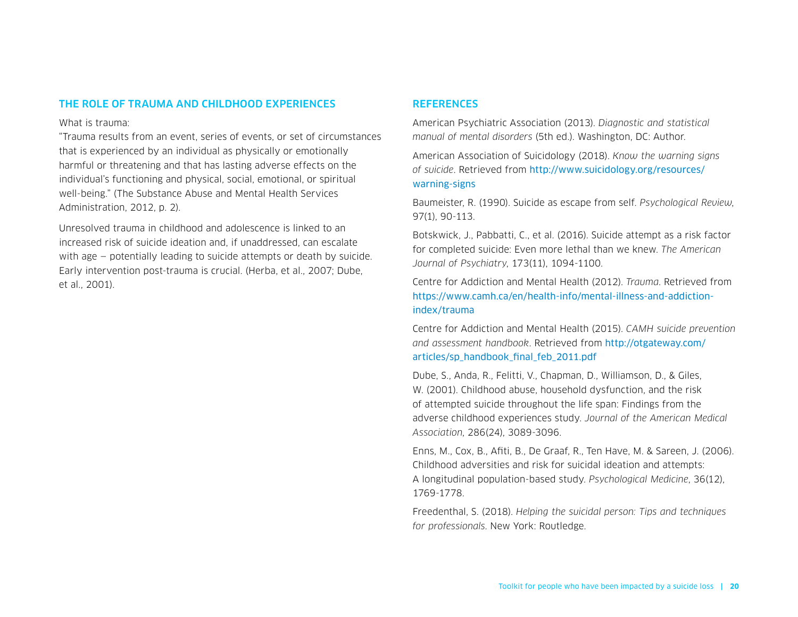#### <span id="page-19-0"></span>THE ROLE OF TRAUMA AND CHILDHOOD EXPERIENCES

What is trauma:

"Trauma results from an event, series of events, or set of circumstances that is experienced by an individual as physically or emotionally harmful or threatening and that has lasting adverse effects on the individual's functioning and physical, social, emotional, or spiritual well-being." (The Substance Abuse and Mental Health Services Administration, 2012, p. 2).

Unresolved trauma in childhood and adolescence is linked to an increased risk of suicide ideation and, if unaddressed, can escalate with age — potentially leading to suicide attempts or death by suicide. Early intervention post-trauma is crucial. (Herba, et al., 2007; Dube, et al., 2001).

#### <span id="page-19-1"></span>**REFERENCES**

American Psychiatric Association (2013). *Diagnostic and statistical manual of mental disorders* (5th ed.). Washington, DC: Author.

American Association of Suicidology (2018). *Know the warning signs of suicide*. Retrieved from [http://www.suicidology.org/resources/](http://www.suicidology.org/resources/warning-signs) [warning-signs](http://www.suicidology.org/resources/warning-signs)

Baumeister, R. (1990). Suicide as escape from self. *Psychological Review*, 97(1), 90-113.

Botskwick, J., Pabbatti, C., et al. (2016). Suicide attempt as a risk factor for completed suicide: Even more lethal than we knew. *The American Journal of Psychiatry*, 173(11), 1094-1100.

Centre for Addiction and Mental Health (2012). *Trauma*. Retrieved from [https://www.camh.ca/en/health-info/mental-illness-and-addiction](https://www.camh.ca/en/health-info/mental-illness-and-addiction-index/trauma)[index/trauma](https://www.camh.ca/en/health-info/mental-illness-and-addiction-index/trauma)

Centre for Addiction and Mental Health (2015). *CAMH suicide prevention and assessment handbook*. Retrieved from [http://otgateway.com/](http://otgateway.com/articles/sp_handbook_final_feb_2011.pdf) [articles/sp\\_handbook\\_final\\_feb\\_2011.pdf](http://otgateway.com/articles/sp_handbook_final_feb_2011.pdf)

Dube, S., Anda, R., Felitti, V., Chapman, D., Williamson, D., & Giles, W. (2001). Childhood abuse, household dysfunction, and the risk of attempted suicide throughout the life span: Findings from the adverse childhood experiences study. *Journal of the American Medical Association*, 286(24), 3089-3096.

Enns, M., Cox, B., Afiti, B., De Graaf, R., Ten Have, M. & Sareen, J. (2006). Childhood adversities and risk for suicidal ideation and attempts: A longitudinal population-based study. *Psychological Medicine*, 36(12), 1769-1778.

Freedenthal, S. (2018). *Helping the suicidal person: Tips and techniques for professionals*. New York: Routledge.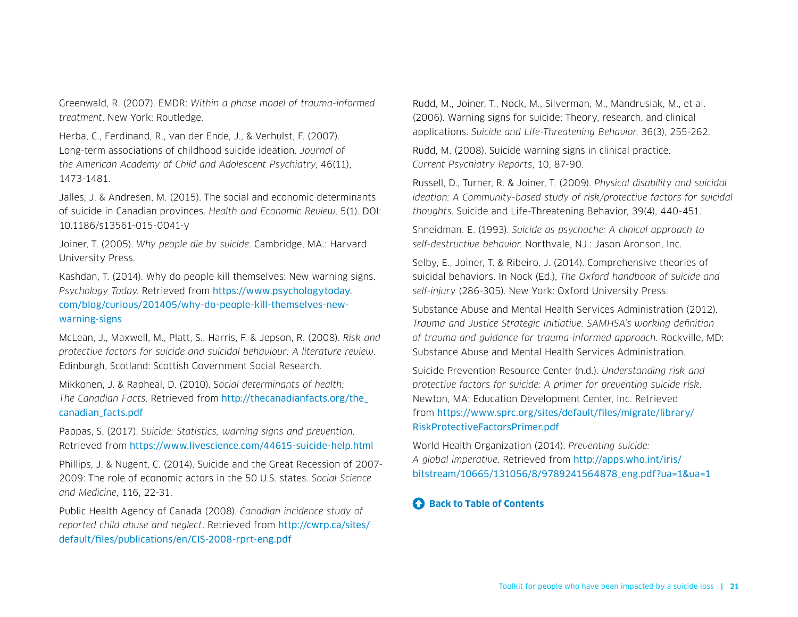Greenwald, R. (2007). EMDR: *Within a phase model of trauma-informed treatment*. New York: Routledge.

Herba, C., Ferdinand, R., van der Ende, J., & Verhulst, F. (2007). Long-term associations of childhood suicide ideation. *Journal of the American Academy of Child and Adolescent Psychiatry*, 46(11), 1473-1481.

Jalles, J. & Andresen, M. (2015). The social and economic determinants of suicide in Canadian provinces. *Health and Economic Review*, 5(1). DOI: 10.1186/s13561-015-0041-y

Joiner, T. (2005). *Why people die by suicide*. Cambridge, MA.: Harvard University Press.

Kashdan, T. (2014). Why do people kill themselves: New warning signs. *Psychology Today*. Retrieved from [https://www.psychologytoday.](https://www.psychologytoday.com/blog/curious/201405/why-do-people-kill-themselves-new-warning-signs) [com/blog/curious/201405/why-do-people-kill-themselves-new](https://www.psychologytoday.com/blog/curious/201405/why-do-people-kill-themselves-new-warning-signs)[warning-signs](https://www.psychologytoday.com/blog/curious/201405/why-do-people-kill-themselves-new-warning-signs)

McLean, J., Maxwell, M., Platt, S., Harris, F. & Jepson, R. (2008). *Risk and protective factors for suicide and suicidal behaviour: A literature review*. Edinburgh, Scotland: Scottish Government Social Research.

Mikkonen, J. & Rapheal, D. (2010). S*ocial determinants of health: The Canadian Facts*. Retrieved from [http://thecanadianfacts.org/the\\_](http://thecanadianfacts.org/the_canadian_facts.pdf) [canadian\\_facts.pdf](http://thecanadianfacts.org/the_canadian_facts.pdf)

Pappas, S. (2017). *Suicide: Statistics, warning signs and prevention*. Retrieved from <https://www.livescience.com/44615-suicide-help.html>

Phillips, J. & Nugent, C. (2014). Suicide and the Great Recession of 2007- 2009: The role of economic actors in the 50 U.S. states. *Social Science and Medicine*, 116, 22-31.

Public Health Agency of Canada (2008). *Canadian incidence study of reported child abuse and neglect*. Retrieved from [http://cwrp.ca/sites/](http://cwrp.ca/sites/default/files/publications/en/CIS-2008-rprt-eng.pdf) [default/files/publications/en/CIS-2008-rprt-eng.pdf](http://cwrp.ca/sites/default/files/publications/en/CIS-2008-rprt-eng.pdf)

Rudd, M., Joiner, T., Nock, M., Silverman, M., Mandrusiak, M., et al. (2006). Warning signs for suicide: Theory, research, and clinical applications. *Suicide and Life-Threatening Behavior*, 36(3), 255-262.

Rudd, M. (2008). Suicide warning signs in clinical practice. *Current Psychiatry Reports*, 10, 87-90.

Russell, D., Turner, R. & Joiner, T. (2009). *Physical disability and suicidal ideation: A Community-based study of risk/protective factors for suicidal thoughts*. Suicide and Life-Threatening Behavior, 39(4), 440-451.

Shneidman. E. (1993). *Suicide as psychache: A clinical approach to self-destructive behavior*. Northvale, NJ.: Jason Aronson, Inc.

Selby, E., Joiner, T. & Ribeiro, J. (2014). Comprehensive theories of suicidal behaviors. In Nock (Ed.), *The Oxford handbook of suicide and self-injury* (286-305). New York: Oxford University Press.

Substance Abuse and Mental Health Services Administration (2012). *Trauma and Justice Strategic Initiative. SAMHSA's working definition of trauma and guidance for trauma-informed approach*. Rockville, MD: Substance Abuse and Mental Health Services Administration.

Suicide Prevention Resource Center (n.d.). *Understanding risk and protective factors for suicide: A primer for preventing suicide risk*. Newton, MA: Education Development Center, Inc. Retrieved from [https://www.sprc.org/sites/default/files/migrate/library/](https://www.sprc.org/sites/default/files/migrate/library/RiskProtectiveFactorsPrimer.pdf) [RiskProtectiveFactorsPrimer.pdf](https://www.sprc.org/sites/default/files/migrate/library/RiskProtectiveFactorsPrimer.pdf)

World Health Organization (2014). *Preventing suicide: A global imperative*. Retrieved from [http://apps.who.int/iris/](http://apps.who.int/iris/bitstream/10665/131056/8/9789241564878_eng.pdf?ua=1&ua=1) [bitstream/10665/131056/8/9789241564878\\_eng.pdf?ua=1&ua=1](http://apps.who.int/iris/bitstream/10665/131056/8/9789241564878_eng.pdf?ua=1&ua=1)

#### **C** [Back to Table of Contents](#page-2-0)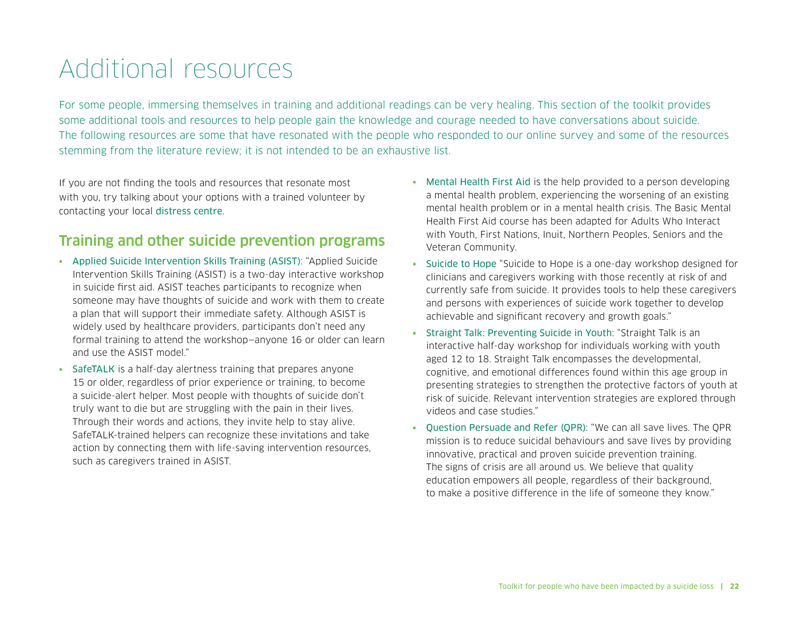# <span id="page-21-0"></span>Additional resources

For some people, immersing themselves in training and additional readings can be very healing. This section of the toolkit provides some additional tools and resources to help people gain the knowledge and courage needed to have conversations about suicide. The following resources are some that have resonated with the people who responded to our online survey and some of the resources stemming from the literature review; it is not intended to be an exhaustive list.

If you are not finding the tools and resources that resonate most with you, try talking about your options with a trained volunteer by contacting your local [distress centre](https://www.crisisservicescanada.ca/en/).

# <span id="page-21-1"></span>Training and other suicide prevention programs

- [Applied Suicide Intervention Skills Training \(ASIST\)](https://www.livingworks.net/asist?utm_source=google&utm_medium=ppc&utm_campaign=iNet&gclid=CjwKCAjwn8SLBhAyEiwAHNTJbX5x9fQpmHqfpefZsjZCv5Hfh1oRwfmxJ8VsElrd22oaM6-wbqsJ-BoCK-EQAvD_BwE): "Applied Suicide Intervention Skills Training (ASIST) is a two-day interactive workshop in suicide first aid. ASIST teaches participants to recognize when someone may have thoughts of suicide and work with them to create a plan that will support their immediate safety. Although ASIST is widely used by healthcare providers, participants don't need any formal training to attend the workshop—anyone 16 or older can learn and use the ASIST model."
- [SafeTALK](https://www.livingworks.net/safetalk) is a half-day alertness training that prepares anyone 15 or older, regardless of prior experience or training, to become a suicide-alert helper. Most people with thoughts of suicide don't truly want to die but are struggling with the pain in their lives. Through their words and actions, they invite help to stay alive. SafeTALK-trained helpers can recognize these invitations and take action by connecting them with life-saving intervention resources, such as caregivers trained in ASIST.
- [Mental Health First Aid](http://mentalhealthfirstaid.ca/en) is the help provided to a person developing a mental health problem, experiencing the worsening of an existing mental health problem or in a mental health crisis. The Basic Mental Health First Aid course has been adapted for Adults Who Interact with Youth, First Nations, Inuit, Northern Peoples, Seniors and the Veteran Community.
- [Suicide to Hope](https://www.suicideinfo.ca/workshop/suicide-to-hope/) "Suicide to Hope is a one-day workshop designed for clinicians and caregivers working with those recently at risk of and currently safe from suicide. It provides tools to help these caregivers and persons with experiences of suicide work together to develop achievable and significant recovery and growth goals."
- [Straight Talk: Preventing Suicide in Youth](https://www.suicideinfo.ca/workshop/straight-talk/): "Straight Talk is an interactive half-day workshop for individuals working with youth aged 12 to 18. Straight Talk encompasses the developmental, cognitive, and emotional differences found within this age group in presenting strategies to strengthen the protective factors of youth at risk of suicide. Relevant intervention strategies are explored through videos and case studies."
- [Question Persuade and Refer \(QPR\)](https://qprinstitute.com/): "We can all save lives. The QPR mission is to reduce suicidal behaviours and save lives by providing innovative, practical and proven suicide prevention training. The signs of crisis are all around us. We believe that quality education empowers all people, regardless of their background, to make a positive difference in the life of someone they know."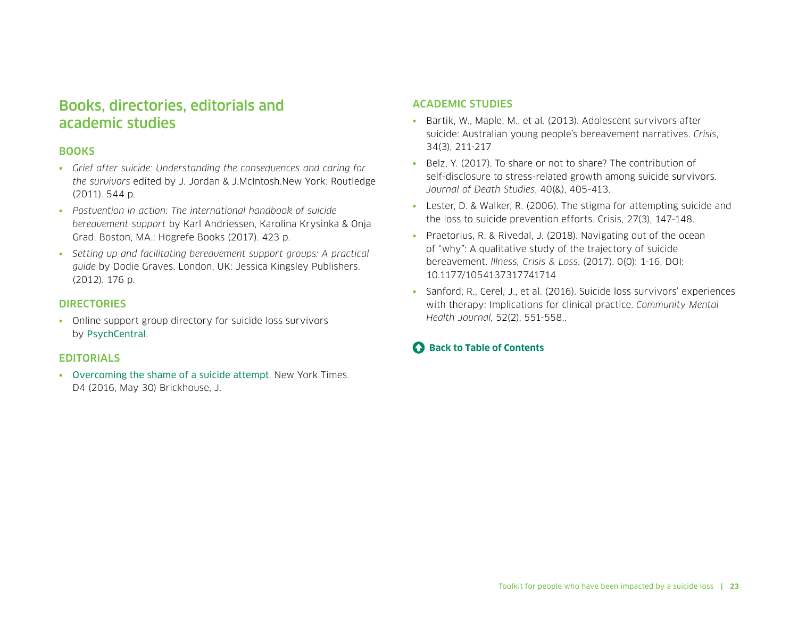## <span id="page-22-0"></span>Books, directories, editorials and academic studies

#### **BOOKS**

- *Grief after suicide: Understanding the consequences and caring for the survivors* edited by J. Jordan & J.McIntosh.New York: Routledge (2011). 544 p.
- *Postvention in action: The international handbook of suicide bereavement support* by Karl Andriessen, Karolina Krysinka & Onja Grad. Boston, MA.: Hogrefe Books (2017). 423 p.
- *Setting up and facilitating bereavement support groups: A practical guide* by Dodie Graves. London, UK: Jessica Kingsley Publishers. (2012). 176 p.

#### **DIRECTORIES**

• Online support group directory for suicide loss survivors by [PsychCentral](https://psychcentral.com/resources/Suicide_and_Crisis/Support_Groups/).

#### EDITORIALS

• [Overcoming the shame of a suicide attempt](https://well.blogs.nytimes.com/2016/05/30/overcoming-the-shame-of-a-suicide-attempt/). New York Times. D4 (2016, May 30) Brickhouse, J.

#### ACADEMIC STUDIES

- Bartik, W., Maple, M., et al. (2013). Adolescent survivors after suicide: Australian young people's bereavement narratives. *Crisis*, 34(3), 211-217
- Belz, Y. (2017). To share or not to share? The contribution of self-disclosure to stress-related growth among suicide survivors. *Journal of Death Studies*, 40(&), 405-413.
- Lester, D. & Walker, R. (2006). The stigma for attempting suicide and the loss to suicide prevention efforts. Crisis, 27(3), 147-148.
- Praetorius, R. & Rivedal, J. (2018). Navigating out of the ocean of "why": A qualitative study of the trajectory of suicide bereavement. *Illness, Crisis & Loss*. (2017). 0(0): 1-16. DOI: 10.1177/1054137317741714
- Sanford, R., Cerel, J., et al. (2016). Suicide loss survivors' experiences with therapy: Implications for clinical practice. *Community Mental Health Journal*, 52(2), 551-558..

### **[Back to Table of Contents](#page-2-0)**